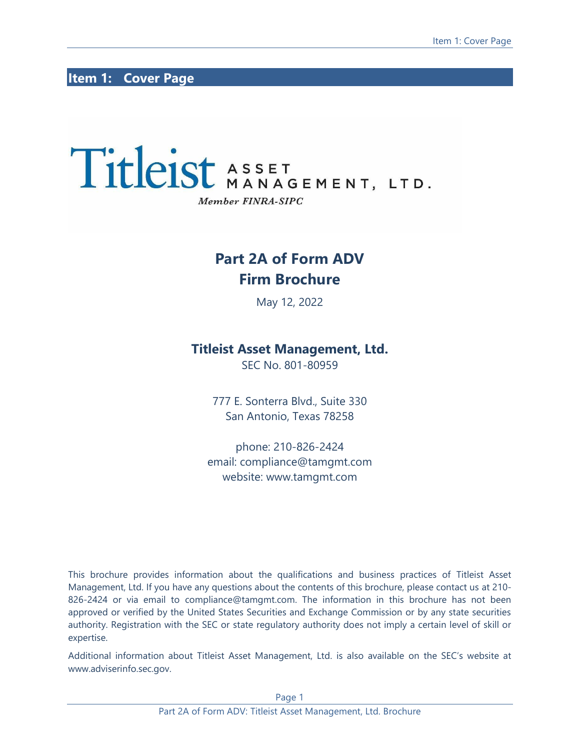# <span id="page-0-0"></span>**Item 1: Cover Page**

# Titleist ASSET MANAGEMENT, LTD. Member FINRA-SIPC

# **Part 2A of Form ADV Firm Brochure**

May 12, 2022

# **Titleist Asset Management, Ltd.**

SEC No. 801-80959

777 E. Sonterra Blvd., Suite 330 San Antonio, Texas 78258

phone: 210-826-2424 email: compliance@tamgmt.com website: www.tamgmt.com

This brochure provides information about the qualifications and business practices of Titleist Asset Management, Ltd. If you have any questions about the contents of this brochure, please contact us at 210- 826-2424 or via email to [compliance@tamgmt.com.](mailto:compliance@tamgmt.com) The information in this brochure has not been approved or verified by the United States Securities and Exchange Commission or by any state securities authority. Registration with the SEC or state regulatory authority does not imply a certain level of skill or expertise.

Additional information about Titleist Asset Management, Ltd. is also available on the SEC's website at www.adviserinfo.sec.gov.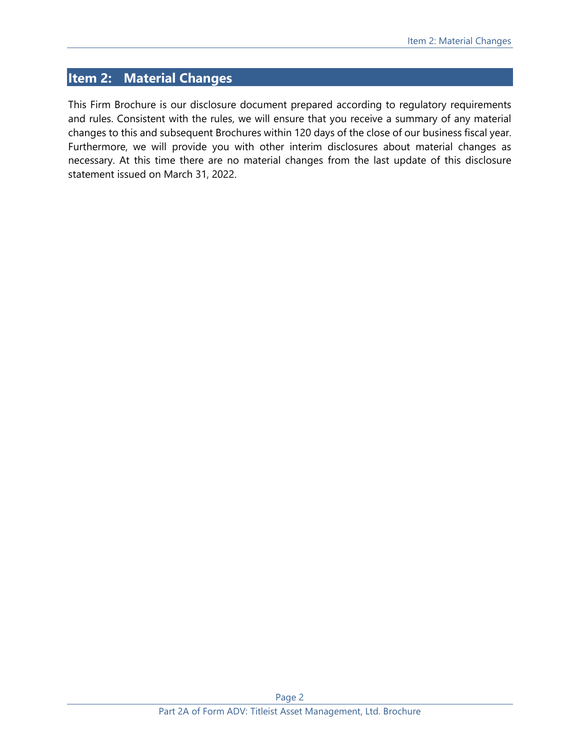# <span id="page-1-0"></span>**Item 2: Material Changes**

This Firm Brochure is our disclosure document prepared according to regulatory requirements and rules. Consistent with the rules, we will ensure that you receive a summary of any material changes to this and subsequent Brochures within 120 days of the close of our business fiscal year. Furthermore, we will provide you with other interim disclosures about material changes as necessary. At this time there are no material changes from the last update of this disclosure statement issued on March 31, 2022.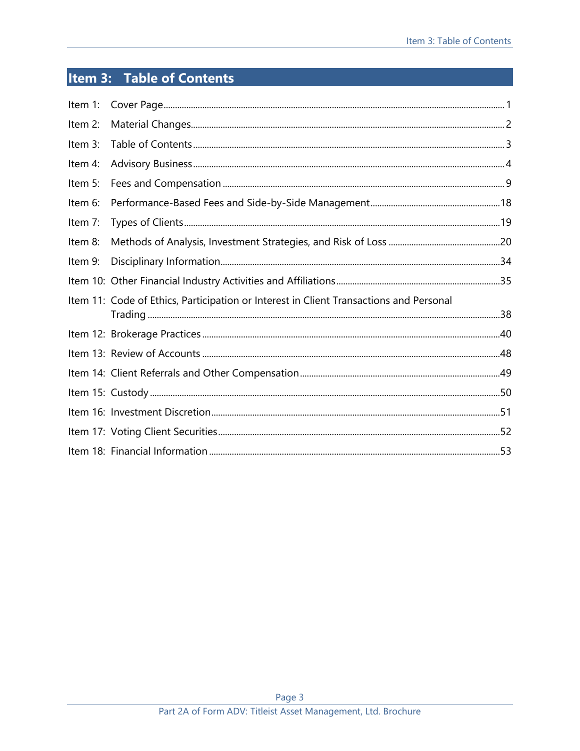# <span id="page-2-0"></span>Item 3: Table of Contents

| Item 1: |                                                                                        |  |
|---------|----------------------------------------------------------------------------------------|--|
| Item 2: |                                                                                        |  |
| Item 3: |                                                                                        |  |
| Item 4: |                                                                                        |  |
| Item 5: |                                                                                        |  |
| Item 6: |                                                                                        |  |
| Item 7: |                                                                                        |  |
| Item 8: |                                                                                        |  |
| Item 9: |                                                                                        |  |
|         |                                                                                        |  |
|         | Item 11: Code of Ethics, Participation or Interest in Client Transactions and Personal |  |
|         |                                                                                        |  |
|         |                                                                                        |  |
|         |                                                                                        |  |
|         |                                                                                        |  |
|         |                                                                                        |  |
|         |                                                                                        |  |
|         |                                                                                        |  |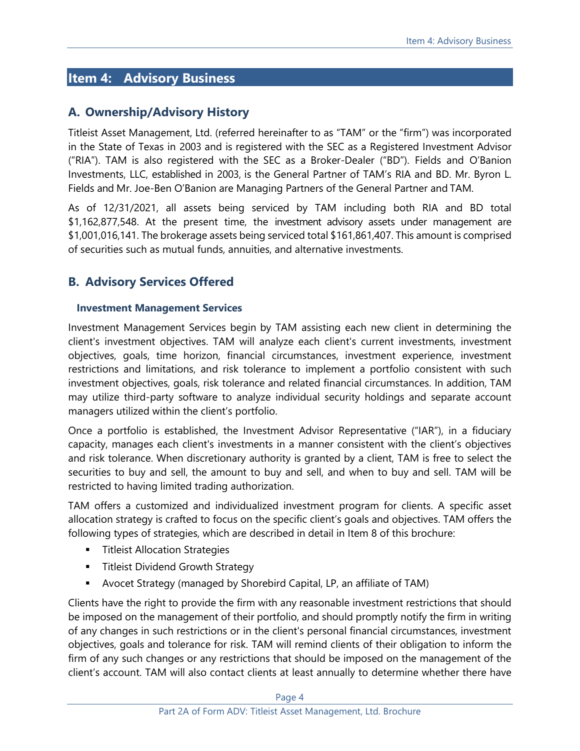# <span id="page-3-0"></span>**Item 4: Advisory Business**

# **A. Ownership/Advisory History**

Titleist Asset Management, Ltd. (referred hereinafter to as "TAM" or the "firm") was incorporated in the State of Texas in 2003 and is registered with the SEC as a Registered Investment Advisor ("RIA"). TAM is also registered with the SEC as a Broker-Dealer ("BD"). Fields and O'Banion Investments, LLC, established in 2003, is the General Partner of TAM's RIA and BD. Mr. Byron L. Fields and Mr. Joe-Ben O'Banion are Managing Partners of the General Partner and TAM.

As of 12/31/2021, all assets being serviced by TAM including both RIA and BD total \$1,162,877,548. At the present time, the investment advisory assets under management are \$1,001,016,141. The brokerage assets being serviced total \$161,861,407. This amount is comprised of securities such as mutual funds, annuities, and alternative investments.

# **B. Advisory Services Offered**

## **Investment Management Services**

Investment Management Services begin by TAM assisting each new client in determining the client's investment objectives. TAM will analyze each client's current investments, investment objectives, goals, time horizon, financial circumstances, investment experience, investment restrictions and limitations, and risk tolerance to implement a portfolio consistent with such investment objectives, goals, risk tolerance and related financial circumstances. In addition, TAM may utilize third-party software to analyze individual security holdings and separate account managers utilized within the client's portfolio.

Once a portfolio is established, the Investment Advisor Representative ("IAR"), in a fiduciary capacity, manages each client's investments in a manner consistent with the client's objectives and risk tolerance. When discretionary authority is granted by a client, TAM is free to select the securities to buy and sell, the amount to buy and sell, and when to buy and sell. TAM will be restricted to having limited trading authorization.

TAM offers a customized and individualized investment program for clients. A specific asset allocation strategy is crafted to focus on the specific client's goals and objectives. TAM offers the following types of strategies, which are described in detail in Item 8 of this brochure:

- **■** Titleist Allocation Strategies
- **E** Titleist Dividend Growth Strategy
- Avocet Strategy (managed by Shorebird Capital, LP, an affiliate of TAM)

Clients have the right to provide the firm with any reasonable investment restrictions that should be imposed on the management of their portfolio, and should promptly notify the firm in writing of any changes in such restrictions or in the client's personal financial circumstances, investment objectives, goals and tolerance for risk. TAM will remind clients of their obligation to inform the firm of any such changes or any restrictions that should be imposed on the management of the client's account. TAM will also contact clients at least annually to determine whether there have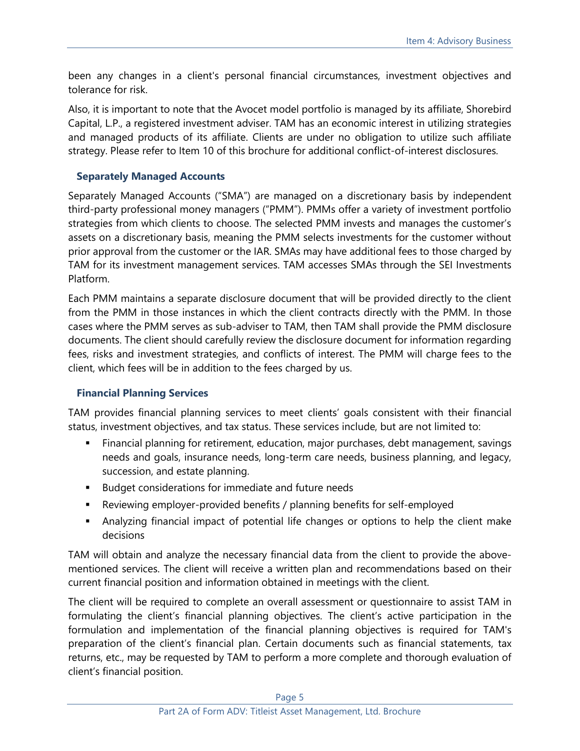been any changes in a client's personal financial circumstances, investment objectives and tolerance for risk.

Also, it is important to note that the Avocet model portfolio is managed by its affiliate, Shorebird Capital, L.P., a registered investment adviser. TAM has an economic interest in utilizing strategies and managed products of its affiliate. Clients are under no obligation to utilize such affiliate strategy. Please refer to Item 10 of this brochure for additional conflict-of-interest disclosures.

## **Separately Managed Accounts**

Separately Managed Accounts ("SMA") are managed on a discretionary basis by independent third-party professional money managers ("PMM"). PMMs offer a variety of investment portfolio strategies from which clients to choose. The selected PMM invests and manages the customer's assets on a discretionary basis, meaning the PMM selects investments for the customer without prior approval from the customer or the IAR. SMAs may have additional fees to those charged by TAM for its investment management services. TAM accesses SMAs through the SEI Investments Platform.

Each PMM maintains a separate disclosure document that will be provided directly to the client from the PMM in those instances in which the client contracts directly with the PMM. In those cases where the PMM serves as sub-adviser to TAM, then TAM shall provide the PMM disclosure documents. The client should carefully review the disclosure document for information regarding fees, risks and investment strategies, and conflicts of interest. The PMM will charge fees to the client, which fees will be in addition to the fees charged by us.

#### **Financial Planning Services**

TAM provides financial planning services to meet clients' goals consistent with their financial status, investment objectives, and tax status. These services include, but are not limited to:

- **EXECT** Financial planning for retirement, education, major purchases, debt management, savings needs and goals, insurance needs, long-term care needs, business planning, and legacy, succession, and estate planning.
- Budget considerations for immediate and future needs
- Reviewing employer-provided benefits / planning benefits for self-employed
- **■** Analyzing financial impact of potential life changes or options to help the client make decisions

TAM will obtain and analyze the necessary financial data from the client to provide the abovementioned services. The client will receive a written plan and recommendations based on their current financial position and information obtained in meetings with the client.

The client will be required to complete an overall assessment or questionnaire to assist TAM in formulating the client's financial planning objectives. The client's active participation in the formulation and implementation of the financial planning objectives is required for TAM's preparation of the client's financial plan. Certain documents such as financial statements, tax returns, etc., may be requested by TAM to perform a more complete and thorough evaluation of client's financial position.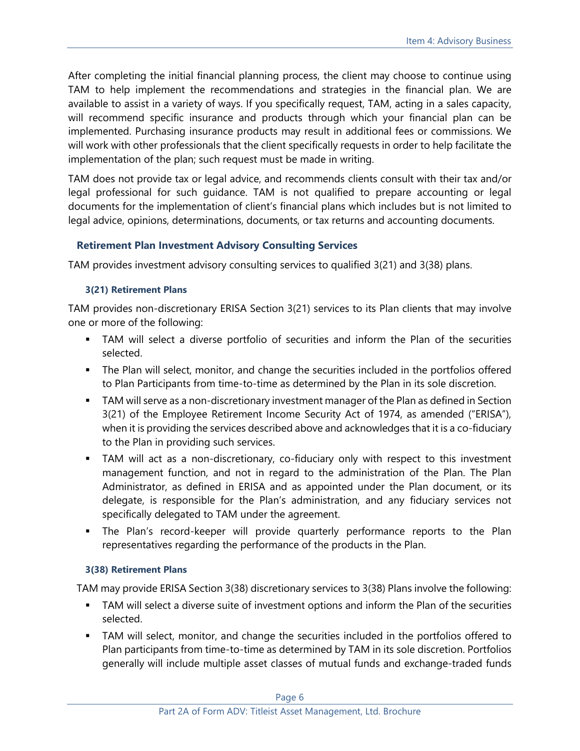After completing the initial financial planning process, the client may choose to continue using TAM to help implement the recommendations and strategies in the financial plan. We are available to assist in a variety of ways. If you specifically request, TAM, acting in a sales capacity, will recommend specific insurance and products through which your financial plan can be implemented. Purchasing insurance products may result in additional fees or commissions. We will work with other professionals that the client specifically requests in order to help facilitate the implementation of the plan; such request must be made in writing.

TAM does not provide tax or legal advice, and recommends clients consult with their tax and/or legal professional for such guidance. TAM is not qualified to prepare accounting or legal documents for the implementation of client's financial plans which includes but is not limited to legal advice, opinions, determinations, documents, or tax returns and accounting documents.

# **Retirement Plan Investment Advisory Consulting Services**

TAM provides investment advisory consulting services to qualified 3(21) and 3(38) plans.

## **3(21) Retirement Plans**

TAM provides non-discretionary ERISA Section 3(21) services to its Plan clients that may involve one or more of the following:

- **•** TAM will select a diverse portfolio of securities and inform the Plan of the securities selected.
- **The Plan will select, monitor, and change the securities included in the portfolios offered** to Plan Participants from time-to-time as determined by the Plan in its sole discretion.
- **TAM will serve as a non-discretionary investment manager of the Plan as defined in Section** 3(21) of the Employee Retirement Income Security Act of 1974, as amended ("ERISA"), when it is providing the services described above and acknowledges that it is a co-fiduciary to the Plan in providing such services.
- **■** TAM will act as a non-discretionary, co-fiduciary only with respect to this investment management function, and not in regard to the administration of the Plan. The Plan Administrator, as defined in ERISA and as appointed under the Plan document, or its delegate, is responsible for the Plan's administration, and any fiduciary services not specifically delegated to TAM under the agreement.
- The Plan's record-keeper will provide quarterly performance reports to the Plan representatives regarding the performance of the products in the Plan.

## **3(38) Retirement Plans**

TAM may provide ERISA Section 3(38) discretionary services to 3(38) Plans involve the following:

- **■** TAM will select a diverse suite of investment options and inform the Plan of the securities selected.
- **TAM will select, monitor, and change the securities included in the portfolios offered to** Plan participants from time-to-time as determined by TAM in its sole discretion. Portfolios generally will include multiple asset classes of mutual funds and exchange-traded funds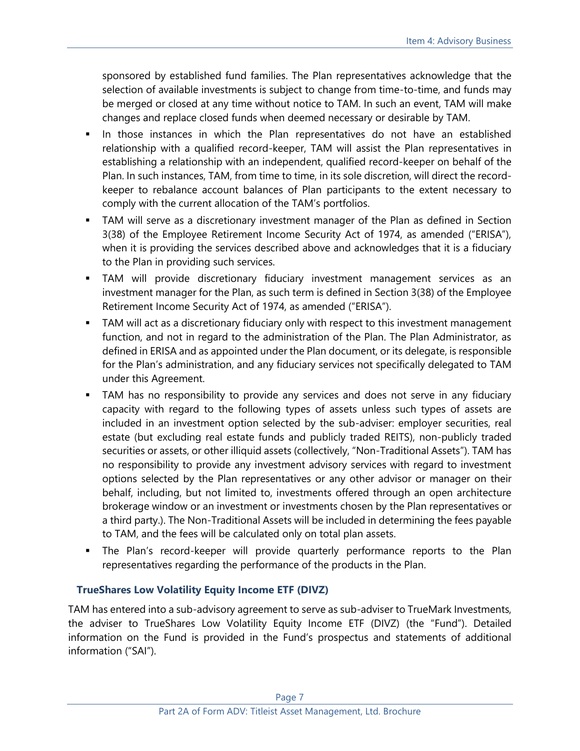sponsored by established fund families. The Plan representatives acknowledge that the selection of available investments is subject to change from time-to-time, and funds may be merged or closed at any time without notice to TAM. In such an event, TAM will make changes and replace closed funds when deemed necessary or desirable by TAM.

- In those instances in which the Plan representatives do not have an established relationship with a qualified record-keeper, TAM will assist the Plan representatives in establishing a relationship with an independent, qualified record-keeper on behalf of the Plan. In such instances, TAM, from time to time, in its sole discretion, will direct the recordkeeper to rebalance account balances of Plan participants to the extent necessary to comply with the current allocation of the TAM's portfolios.
- TAM will serve as a discretionary investment manager of the Plan as defined in Section 3(38) of the Employee Retirement Income Security Act of 1974, as amended ("ERISA"), when it is providing the services described above and acknowledges that it is a fiduciary to the Plan in providing such services.
- **■** TAM will provide discretionary fiduciary investment management services as an investment manager for the Plan, as such term is defined in Section 3(38) of the Employee Retirement Income Security Act of 1974, as amended ("ERISA").
- **TAM will act as a discretionary fiduciary only with respect to this investment management** function, and not in regard to the administration of the Plan. The Plan Administrator, as defined in ERISA and as appointed under the Plan document, or its delegate, is responsible for the Plan's administration, and any fiduciary services not specifically delegated to TAM under this Agreement.
- **TAM** has no responsibility to provide any services and does not serve in any fiduciary capacity with regard to the following types of assets unless such types of assets are included in an investment option selected by the sub-adviser: employer securities, real estate (but excluding real estate funds and publicly traded REITS), non-publicly traded securities or assets, or other illiquid assets (collectively, "Non-Traditional Assets"). TAM has no responsibility to provide any investment advisory services with regard to investment options selected by the Plan representatives or any other advisor or manager on their behalf, including, but not limited to, investments offered through an open architecture brokerage window or an investment or investments chosen by the Plan representatives or a third party.). The Non-Traditional Assets will be included in determining the fees payable to TAM, and the fees will be calculated only on total plan assets.
- The Plan's record-keeper will provide quarterly performance reports to the Plan representatives regarding the performance of the products in the Plan.

# **TrueShares Low Volatility Equity Income ETF (DIVZ)**

TAM has entered into a sub-advisory agreement to serve as sub-adviser to TrueMark Investments, the adviser to TrueShares Low Volatility Equity Income ETF (DIVZ) (the "Fund"). Detailed information on the Fund is provided in the Fund's prospectus and statements of additional information ("SAI").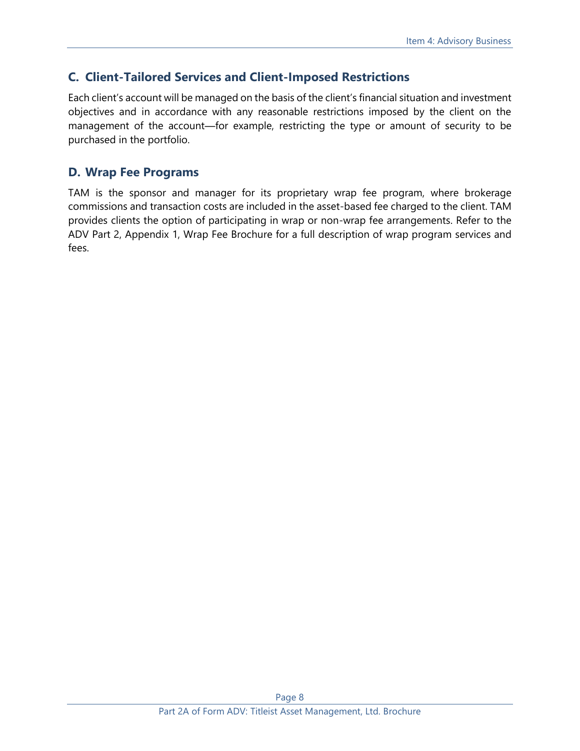# **C. Client-Tailored Services and Client-Imposed Restrictions**

Each client's account will be managed on the basis of the client's financial situation and investment objectives and in accordance with any reasonable restrictions imposed by the client on the management of the account—for example, restricting the type or amount of security to be purchased in the portfolio.

# **D. Wrap Fee Programs**

TAM is the sponsor and manager for its proprietary wrap fee program, where brokerage commissions and transaction costs are included in the asset-based fee charged to the client. TAM provides clients the option of participating in wrap or non-wrap fee arrangements. Refer to the ADV Part 2, Appendix 1, Wrap Fee Brochure for a full description of wrap program services and fees.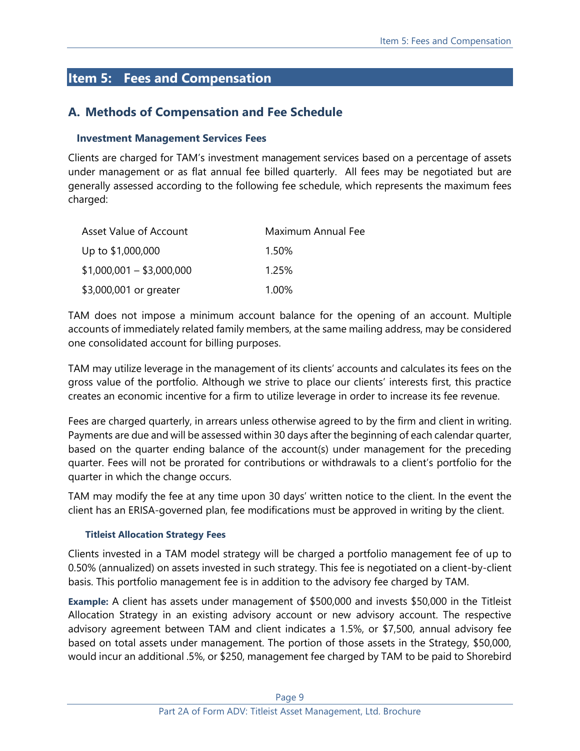# <span id="page-8-0"></span>**Item 5: Fees and Compensation**

# **A. Methods of Compensation and Fee Schedule**

### **Investment Management Services Fees**

Clients are charged for TAM's investment management services based on a percentage of assets under management or as flat annual fee billed quarterly. All fees may be negotiated but are generally assessed according to the following fee schedule, which represents the maximum fees charged:

| Asset Value of Account    | Maximum Annual Fee |
|---------------------------|--------------------|
| Up to \$1,000,000         | 1.50%              |
| $$1,000,001 - $3,000,000$ | 1.25%              |
| \$3,000,001 or greater    | 1.00%              |

TAM does not impose a minimum account balance for the opening of an account. Multiple accounts of immediately related family members, at the same mailing address, may be considered one consolidated account for billing purposes.

TAM may utilize leverage in the management of its clients' accounts and calculates its fees on the gross value of the portfolio. Although we strive to place our clients' interests first, this practice creates an economic incentive for a firm to utilize leverage in order to increase its fee revenue.

Fees are charged quarterly, in arrears unless otherwise agreed to by the firm and client in writing. Payments are due and will be assessed within 30 days after the beginning of each calendar quarter, based on the quarter ending balance of the account(s) under management for the preceding quarter. Fees will not be prorated for contributions or withdrawals to a client's portfolio for the quarter in which the change occurs.

TAM may modify the fee at any time upon 30 days' written notice to the client. In the event the client has an ERISA-governed plan, fee modifications must be approved in writing by the client.

#### **Titleist Allocation Strategy Fees**

Clients invested in a TAM model strategy will be charged a portfolio management fee of up to 0.50% (annualized) on assets invested in such strategy. This fee is negotiated on a client-by-client basis. This portfolio management fee is in addition to the advisory fee charged by TAM.

**Example:** A client has assets under management of \$500,000 and invests \$50,000 in the Titleist Allocation Strategy in an existing advisory account or new advisory account. The respective advisory agreement between TAM and client indicates a 1.5%, or \$7,500, annual advisory fee based on total assets under management. The portion of those assets in the Strategy, \$50,000, would incur an additional .5%, or \$250, management fee charged by TAM to be paid to Shorebird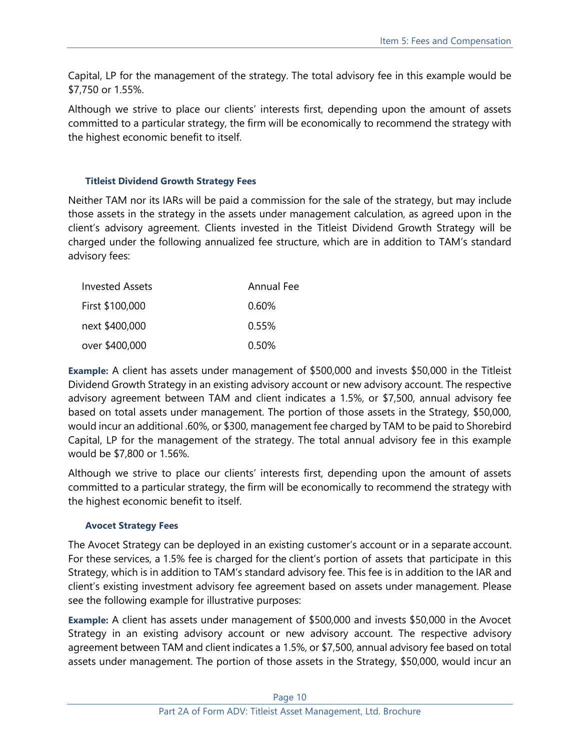Capital, LP for the management of the strategy. The total advisory fee in this example would be \$7,750 or 1.55%.

Although we strive to place our clients' interests first, depending upon the amount of assets committed to a particular strategy, the firm will be economically to recommend the strategy with the highest economic benefit to itself.

#### **Titleist Dividend Growth Strategy Fees**

Neither TAM nor its IARs will be paid a commission for the sale of the strategy, but may include those assets in the strategy in the assets under management calculation, as agreed upon in the client's advisory agreement. Clients invested in the Titleist Dividend Growth Strategy will be charged under the following annualized fee structure, which are in addition to TAM's standard advisory fees:

| <b>Invested Assets</b> | <b>Annual Fee</b> |
|------------------------|-------------------|
| First \$100,000        | $0.60\%$          |
| next \$400,000         | 0.55%             |
| over \$400,000         | 0.50%             |

**Example:** A client has assets under management of \$500,000 and invests \$50,000 in the Titleist Dividend Growth Strategy in an existing advisory account or new advisory account. The respective advisory agreement between TAM and client indicates a 1.5%, or \$7,500, annual advisory fee based on total assets under management. The portion of those assets in the Strategy, \$50,000, would incur an additional .60%, or \$300, management fee charged by TAM to be paid to Shorebird Capital, LP for the management of the strategy. The total annual advisory fee in this example would be \$7,800 or 1.56%.

Although we strive to place our clients' interests first, depending upon the amount of assets committed to a particular strategy, the firm will be economically to recommend the strategy with the highest economic benefit to itself.

#### **Avocet Strategy Fees**

The Avocet Strategy can be deployed in an existing customer's account or in a separate account. For these services, a 1.5% fee is charged for the client's portion of assets that participate in this Strategy, which is in addition to TAM's standard advisory fee. This fee is in addition to the IAR and client's existing investment advisory fee agreement based on assets under management. Please see the following example for illustrative purposes:

**Example:** A client has assets under management of \$500,000 and invests \$50,000 in the Avocet Strategy in an existing advisory account or new advisory account. The respective advisory agreement between TAM and client indicates a 1.5%, or \$7,500, annual advisory fee based on total assets under management. The portion of those assets in the Strategy, \$50,000, would incur an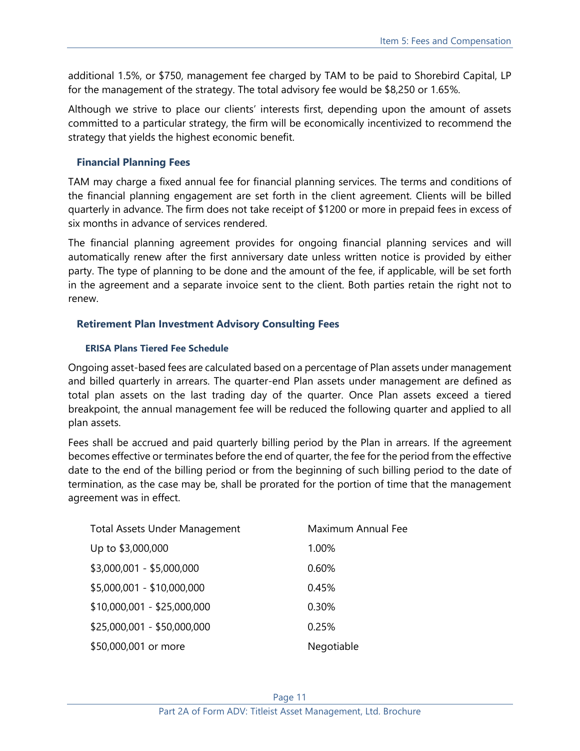additional 1.5%, or \$750, management fee charged by TAM to be paid to Shorebird Capital, LP for the management of the strategy. The total advisory fee would be \$8,250 or 1.65%.

Although we strive to place our clients' interests first, depending upon the amount of assets committed to a particular strategy, the firm will be economically incentivized to recommend the strategy that yields the highest economic benefit.

#### **Financial Planning Fees**

TAM may charge a fixed annual fee for financial planning services. The terms and conditions of the financial planning engagement are set forth in the client agreement. Clients will be billed quarterly in advance. The firm does not take receipt of \$1200 or more in prepaid fees in excess of six months in advance of services rendered.

The financial planning agreement provides for ongoing financial planning services and will automatically renew after the first anniversary date unless written notice is provided by either party. The type of planning to be done and the amount of the fee, if applicable, will be set forth in the agreement and a separate invoice sent to the client. Both parties retain the right not to renew.

#### **Retirement Plan Investment Advisory Consulting Fees**

#### **ERISA Plans Tiered Fee Schedule**

Ongoing asset-based fees are calculated based on a percentage of Plan assets under management and billed quarterly in arrears. The quarter-end Plan assets under management are defined as total plan assets on the last trading day of the quarter. Once Plan assets exceed a tiered breakpoint, the annual management fee will be reduced the following quarter and applied to all plan assets.

Fees shall be accrued and paid quarterly billing period by the Plan in arrears. If the agreement becomes effective or terminates before the end of quarter, the fee for the period from the effective date to the end of the billing period or from the beginning of such billing period to the date of termination, as the case may be, shall be prorated for the portion of time that the management agreement was in effect.

| <b>Total Assets Under Management</b> | Maximum Annual Fee |
|--------------------------------------|--------------------|
| Up to \$3,000,000                    | 1.00%              |
| \$3,000,001 - \$5,000,000            | 0.60%              |
| \$5,000,001 - \$10,000,000           | 0.45%              |
| $$10,000,001 - $25,000,000$          | 0.30%              |
| \$25,000,001 - \$50,000,000          | 0.25%              |
| \$50,000,001 or more                 | Negotiable         |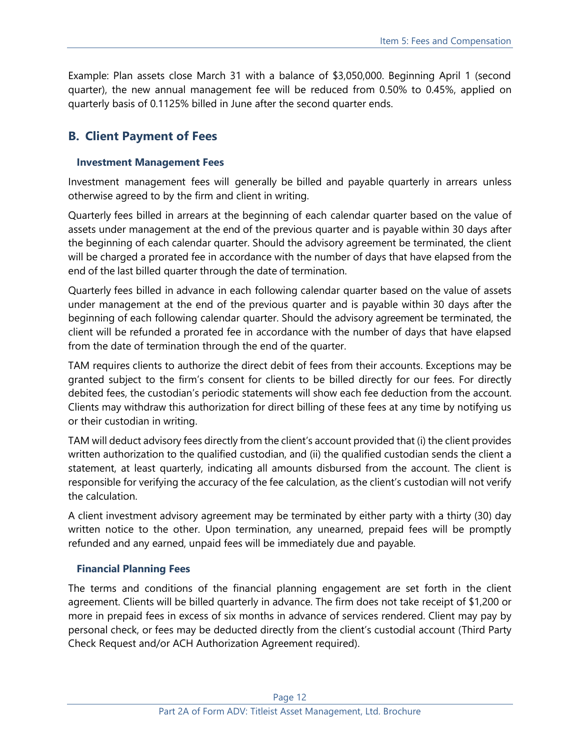Example: Plan assets close March 31 with a balance of \$3,050,000. Beginning April 1 (second quarter), the new annual management fee will be reduced from 0.50% to 0.45%, applied on quarterly basis of 0.1125% billed in June after the second quarter ends.

# **B. Client Payment of Fees**

#### **Investment Management Fees**

Investment management fees will generally be billed and payable quarterly in arrears unless otherwise agreed to by the firm and client in writing.

Quarterly fees billed in arrears at the beginning of each calendar quarter based on the value of assets under management at the end of the previous quarter and is payable within 30 days after the beginning of each calendar quarter. Should the advisory agreement be terminated, the client will be charged a prorated fee in accordance with the number of days that have elapsed from the end of the last billed quarter through the date of termination.

Quarterly fees billed in advance in each following calendar quarter based on the value of assets under management at the end of the previous quarter and is payable within 30 days after the beginning of each following calendar quarter. Should the advisory agreement be terminated, the client will be refunded a prorated fee in accordance with the number of days that have elapsed from the date of termination through the end of the quarter.

TAM requires clients to authorize the direct debit of fees from their accounts. Exceptions may be granted subject to the firm's consent for clients to be billed directly for our fees. For directly debited fees, the custodian's periodic statements will show each fee deduction from the account. Clients may withdraw this authorization for direct billing of these fees at any time by notifying us or their custodian in writing.

TAM will deduct advisory fees directly from the client's account provided that (i) the client provides written authorization to the qualified custodian, and (ii) the qualified custodian sends the client a statement, at least quarterly, indicating all amounts disbursed from the account. The client is responsible for verifying the accuracy of the fee calculation, as the client's custodian will not verify the calculation.

A client investment advisory agreement may be terminated by either party with a thirty (30) day written notice to the other. Upon termination, any unearned, prepaid fees will be promptly refunded and any earned, unpaid fees will be immediately due and payable.

#### **Financial Planning Fees**

The terms and conditions of the financial planning engagement are set forth in the client agreement. Clients will be billed quarterly in advance. The firm does not take receipt of \$1,200 or more in prepaid fees in excess of six months in advance of services rendered. Client may pay by personal check, or fees may be deducted directly from the client's custodial account (Third Party Check Request and/or ACH Authorization Agreement required).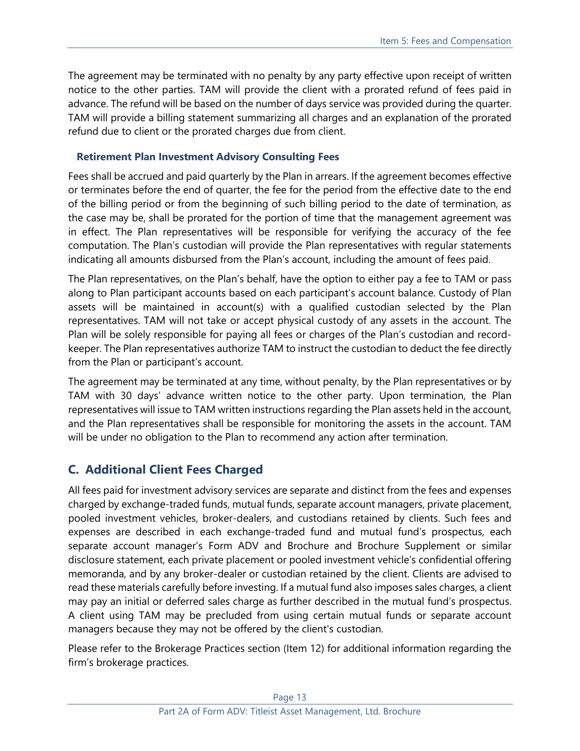The agreement may be terminated with no penalty by any party effective upon receipt of written notice to the other parties. TAM will provide the client with a prorated refund of fees paid in advance. The refund will be based on the number of days service was provided during the quarter. TAM will provide a billing statement summarizing all charges and an explanation of the prorated refund due to client or the prorated charges due from client.

## **Retirement Plan Investment Advisory Consulting Fees**

Fees shall be accrued and paid quarterly by the Plan in arrears. If the agreement becomes effective or terminates before the end of quarter, the fee for the period from the effective date to the end of the billing period or from the beginning of such billing period to the date of termination, as the case may be, shall be prorated for the portion of time that the management agreement was in effect. The Plan representatives will be responsible for verifying the accuracy of the fee computation. The Plan's custodian will provide the Plan representatives with regular statements indicating all amounts disbursed from the Plan's account, including the amount of fees paid.

The Plan representatives, on the Plan's behalf, have the option to either pay a fee to TAM or pass along to Plan participant accounts based on each participant's account balance. Custody of Plan assets will be maintained in account(s) with a qualified custodian selected by the Plan representatives. TAM will not take or accept physical custody of any assets in the account. The Plan will be solely responsible for paying all fees or charges of the Plan's custodian and recordkeeper. The Plan representatives authorize TAM to instruct the custodian to deduct the fee directly from the Plan or participant's account.

The agreement may be terminated at any time, without penalty, by the Plan representatives or by TAM with 30 days' advance written notice to the other party. Upon termination, the Plan representatives will issue to TAM written instructions regarding the Plan assets held in the account, and the Plan representatives shall be responsible for monitoring the assets in the account. TAM will be under no obligation to the Plan to recommend any action after termination.

# **C. Additional Client Fees Charged**

All fees paid for investment advisory services are separate and distinct from the fees and expenses charged by exchange-traded funds, mutual funds, separate account managers, private placement, pooled investment vehicles, broker-dealers, and custodians retained by clients. Such fees and expenses are described in each exchange-traded fund and mutual fund's prospectus, each separate account manager's Form ADV and Brochure and Brochure Supplement or similar disclosure statement, each private placement or pooled investment vehicle's confidential offering memoranda, and by any broker-dealer or custodian retained by the client. Clients are advised to read these materials carefully before investing. If a mutual fund also imposes sales charges, a client may pay an initial or deferred sales charge as further described in the mutual fund's prospectus. A client using TAM may be precluded from using certain mutual funds or separate account managers because they may not be offered by the client's custodian.

Please refer to the Brokerage Practices section (Item 12) for additional information regarding the firm's brokerage practices.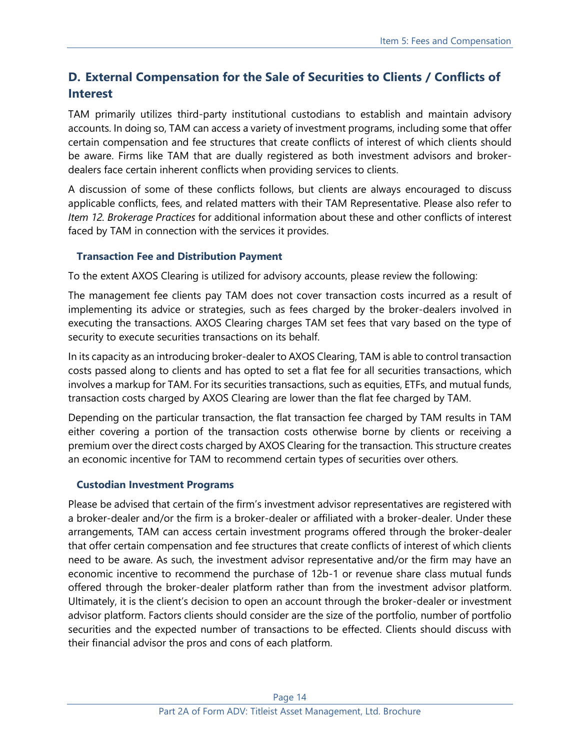# **D. External Compensation for the Sale of Securities to Clients / Conflicts of Interest**

TAM primarily utilizes third-party institutional custodians to establish and maintain advisory accounts. In doing so, TAM can access a variety of investment programs, including some that offer certain compensation and fee structures that create conflicts of interest of which clients should be aware. Firms like TAM that are dually registered as both investment advisors and brokerdealers face certain inherent conflicts when providing services to clients.

A discussion of some of these conflicts follows, but clients are always encouraged to discuss applicable conflicts, fees, and related matters with their TAM Representative. Please also refer to *Item 12. Brokerage Practices* for additional information about these and other conflicts of interest faced by TAM in connection with the services it provides.

#### **Transaction Fee and Distribution Payment**

To the extent AXOS Clearing is utilized for advisory accounts, please review the following:

The management fee clients pay TAM does not cover transaction costs incurred as a result of implementing its advice or strategies, such as fees charged by the broker-dealers involved in executing the transactions. AXOS Clearing charges TAM set fees that vary based on the type of security to execute securities transactions on its behalf.

In its capacity as an introducing broker-dealer to AXOS Clearing, TAM is able to control transaction costs passed along to clients and has opted to set a flat fee for all securities transactions, which involves a markup for TAM. For its securities transactions, such as equities, ETFs, and mutual funds, transaction costs charged by AXOS Clearing are lower than the flat fee charged by TAM.

Depending on the particular transaction, the flat transaction fee charged by TAM results in TAM either covering a portion of the transaction costs otherwise borne by clients or receiving a premium over the direct costs charged by AXOS Clearing for the transaction. This structure creates an economic incentive for TAM to recommend certain types of securities over others.

#### **Custodian Investment Programs**

Please be advised that certain of the firm's investment advisor representatives are registered with a broker-dealer and/or the firm is a broker-dealer or affiliated with a broker-dealer. Under these arrangements, TAM can access certain investment programs offered through the broker-dealer that offer certain compensation and fee structures that create conflicts of interest of which clients need to be aware. As such, the investment advisor representative and/or the firm may have an economic incentive to recommend the purchase of 12b-1 or revenue share class mutual funds offered through the broker-dealer platform rather than from the investment advisor platform. Ultimately, it is the client's decision to open an account through the broker-dealer or investment advisor platform. Factors clients should consider are the size of the portfolio, number of portfolio securities and the expected number of transactions to be effected. Clients should discuss with their financial advisor the pros and cons of each platform.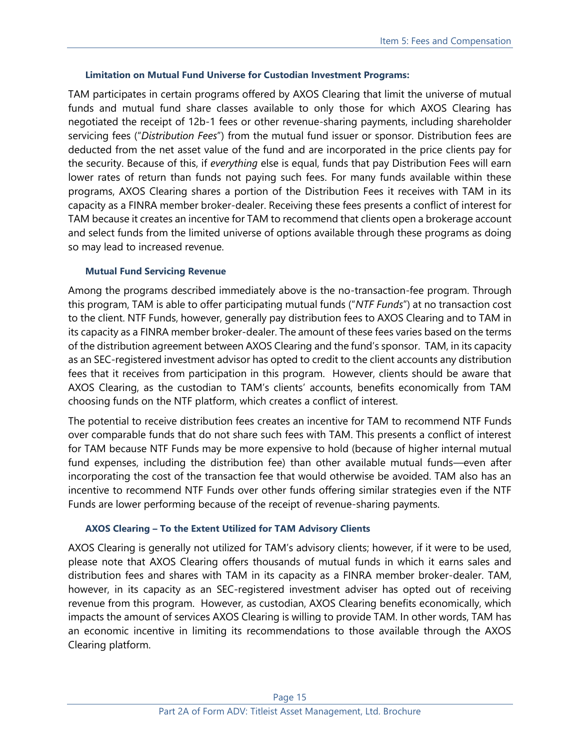#### **Limitation on Mutual Fund Universe for Custodian Investment Programs:**

TAM participates in certain programs offered by AXOS Clearing that limit the universe of mutual funds and mutual fund share classes available to only those for which AXOS Clearing has negotiated the receipt of 12b-1 fees or other revenue-sharing payments, including shareholder servicing fees ("*Distribution Fees*") from the mutual fund issuer or sponsor. Distribution fees are deducted from the net asset value of the fund and are incorporated in the price clients pay for the security. Because of this, if *everything* else is equal, funds that pay Distribution Fees will earn lower rates of return than funds not paying such fees. For many funds available within these programs, AXOS Clearing shares a portion of the Distribution Fees it receives with TAM in its capacity as a FINRA member broker-dealer. Receiving these fees presents a conflict of interest for TAM because it creates an incentive for TAM to recommend that clients open a brokerage account and select funds from the limited universe of options available through these programs as doing so may lead to increased revenue.

#### **Mutual Fund Servicing Revenue**

Among the programs described immediately above is the no-transaction-fee program. Through this program, TAM is able to offer participating mutual funds ("*NTF Funds*") at no transaction cost to the client. NTF Funds, however, generally pay distribution fees to AXOS Clearing and to TAM in its capacity as a FINRA member broker-dealer. The amount of these fees varies based on the terms of the distribution agreement between AXOS Clearing and the fund's sponsor. TAM, in its capacity as an SEC-registered investment advisor has opted to credit to the client accounts any distribution fees that it receives from participation in this program. However, clients should be aware that AXOS Clearing, as the custodian to TAM's clients' accounts, benefits economically from TAM choosing funds on the NTF platform, which creates a conflict of interest.

The potential to receive distribution fees creates an incentive for TAM to recommend NTF Funds over comparable funds that do not share such fees with TAM. This presents a conflict of interest for TAM because NTF Funds may be more expensive to hold (because of higher internal mutual fund expenses, including the distribution fee) than other available mutual funds—even after incorporating the cost of the transaction fee that would otherwise be avoided. TAM also has an incentive to recommend NTF Funds over other funds offering similar strategies even if the NTF Funds are lower performing because of the receipt of revenue-sharing payments.

#### **AXOS Clearing – To the Extent Utilized for TAM Advisory Clients**

AXOS Clearing is generally not utilized for TAM's advisory clients; however, if it were to be used, please note that AXOS Clearing offers thousands of mutual funds in which it earns sales and distribution fees and shares with TAM in its capacity as a FINRA member broker-dealer. TAM, however, in its capacity as an SEC-registered investment adviser has opted out of receiving revenue from this program. However, as custodian, AXOS Clearing benefits economically, which impacts the amount of services AXOS Clearing is willing to provide TAM. In other words, TAM has an economic incentive in limiting its recommendations to those available through the AXOS Clearing platform.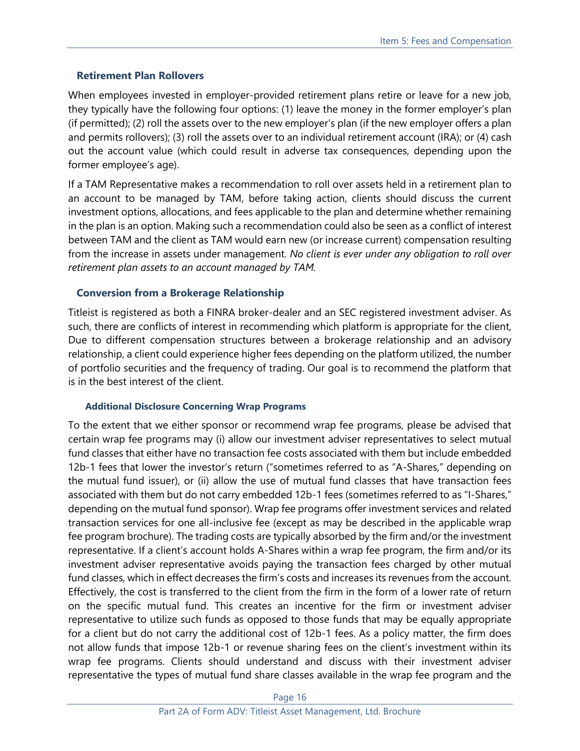## **Retirement Plan Rollovers**

When employees invested in employer-provided retirement plans retire or leave for a new job, they typically have the following four options: (1) leave the money in the former employer's plan (if permitted); (2) roll the assets over to the new employer's plan (if the new employer offers a plan and permits rollovers); (3) roll the assets over to an individual retirement account (IRA); or (4) cash out the account value (which could result in adverse tax consequences, depending upon the former employee's age).

If a TAM Representative makes a recommendation to roll over assets held in a retirement plan to an account to be managed by TAM, before taking action, clients should discuss the current investment options, allocations, and fees applicable to the plan and determine whether remaining in the plan is an option. Making such a recommendation could also be seen as a conflict of interest between TAM and the client as TAM would earn new (or increase current) compensation resulting from the increase in assets under management. *No client is ever under any obligation to roll over retirement plan assets to an account managed by TAM.*

## **Conversion from a Brokerage Relationship**

Titleist is registered as both a FINRA broker-dealer and an SEC registered investment adviser. As such, there are conflicts of interest in recommending which platform is appropriate for the client, Due to different compensation structures between a brokerage relationship and an advisory relationship, a client could experience higher fees depending on the platform utilized, the number of portfolio securities and the frequency of trading. Our goal is to recommend the platform that is in the best interest of the client.

#### **Additional Disclosure Concerning Wrap Programs**

To the extent that we either sponsor or recommend wrap fee programs, please be advised that certain wrap fee programs may (i) allow our investment adviser representatives to select mutual fund classes that either have no transaction fee costs associated with them but include embedded 12b-1 fees that lower the investor's return ("sometimes referred to as "A-Shares," depending on the mutual fund issuer), or (ii) allow the use of mutual fund classes that have transaction fees associated with them but do not carry embedded 12b-1 fees (sometimes referred to as "I-Shares," depending on the mutual fund sponsor). Wrap fee programs offer investment services and related transaction services for one all-inclusive fee (except as may be described in the applicable wrap fee program brochure). The trading costs are typically absorbed by the firm and/or the investment representative. If a client's account holds A-Shares within a wrap fee program, the firm and/or its investment adviser representative avoids paying the transaction fees charged by other mutual fund classes, which in effect decreases the firm's costs and increases its revenues from the account. Effectively, the cost is transferred to the client from the firm in the form of a lower rate of return on the specific mutual fund. This creates an incentive for the firm or investment adviser representative to utilize such funds as opposed to those funds that may be equally appropriate for a client but do not carry the additional cost of 12b-1 fees. As a policy matter, the firm does not allow funds that impose 12b-1 or revenue sharing fees on the client's investment within its wrap fee programs. Clients should understand and discuss with their investment adviser representative the types of mutual fund share classes available in the wrap fee program and the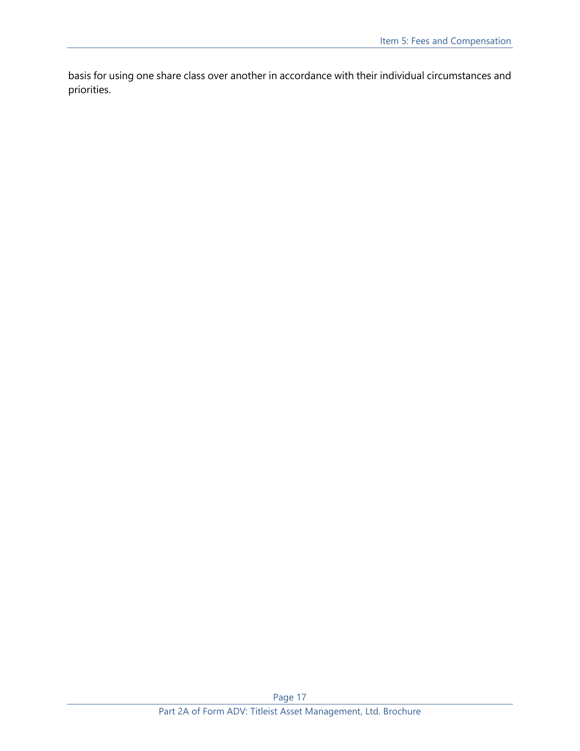basis for using one share class over another in accordance with their individual circumstances and priorities.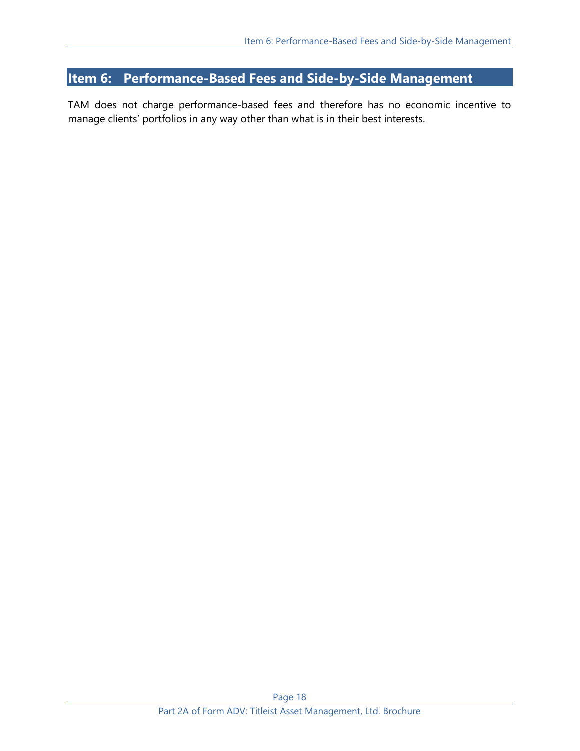# <span id="page-17-0"></span>**Item 6: Performance-Based Fees and Side-by-Side Management**

TAM does not charge performance-based fees and therefore has no economic incentive to manage clients' portfolios in any way other than what is in their best interests.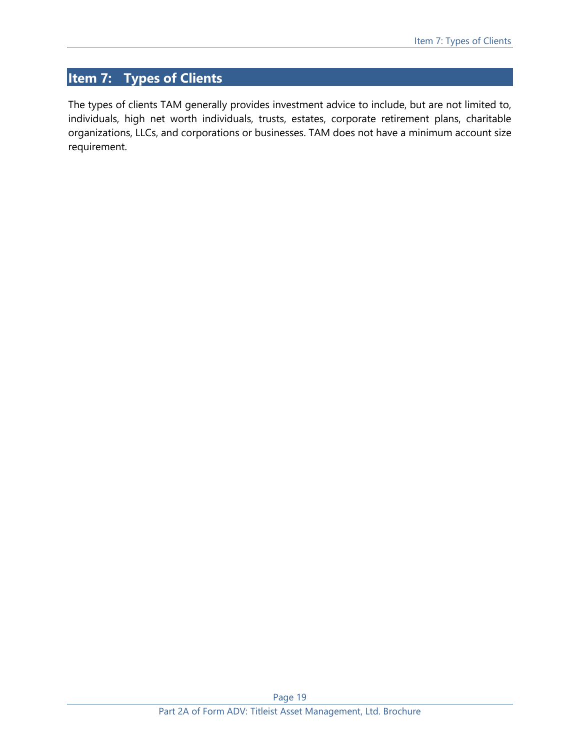# <span id="page-18-0"></span>**Item 7: Types of Clients**

The types of clients TAM generally provides investment advice to include, but are not limited to, individuals, high net worth individuals, trusts, estates, corporate retirement plans, charitable organizations, LLCs, and corporations or businesses. TAM does not have a minimum account size requirement.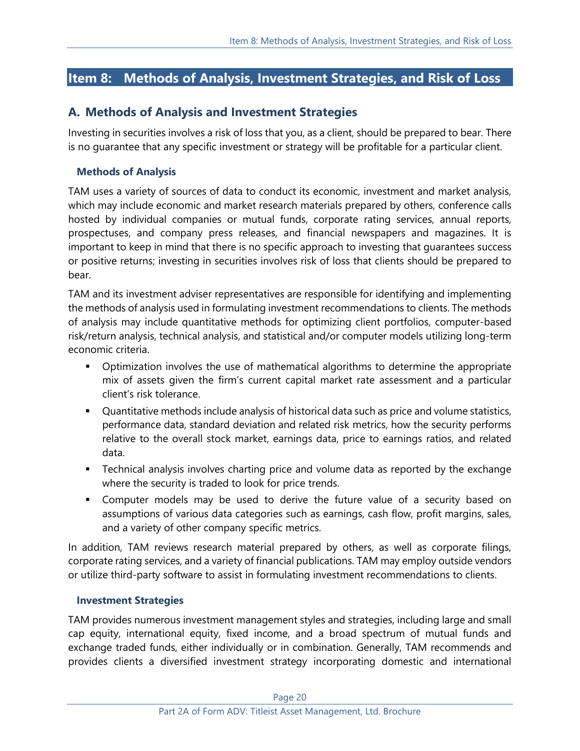# <span id="page-19-0"></span>**Item 8: Methods of Analysis, Investment Strategies, and Risk of Loss**

# **A. Methods of Analysis and Investment Strategies**

Investing in securities involves a risk of loss that you, as a client, should be prepared to bear. There is no guarantee that any specific investment or strategy will be profitable for a particular client.

### **Methods of Analysis**

TAM uses a variety of sources of data to conduct its economic, investment and market analysis, which may include economic and market research materials prepared by others, conference calls hosted by individual companies or mutual funds, corporate rating services, annual reports, prospectuses, and company press releases, and financial newspapers and magazines. It is important to keep in mind that there is no specific approach to investing that guarantees success or positive returns; investing in securities involves risk of loss that clients should be prepared to bear.

TAM and its investment adviser representatives are responsible for identifying and implementing the methods of analysis used in formulating investment recommendations to clients. The methods of analysis may include quantitative methods for optimizing client portfolios, computer-based risk/return analysis, technical analysis, and statistical and/or computer models utilizing long-term economic criteria.

- **•** Optimization involves the use of mathematical algorithms to determine the appropriate mix of assets given the firm's current capital market rate assessment and a particular client's risk tolerance.
- Quantitative methods include analysis of historical data such as price and volume statistics, performance data, standard deviation and related risk metrics, how the security performs relative to the overall stock market, earnings data, price to earnings ratios, and related data.
- **EXED** Technical analysis involves charting price and volume data as reported by the exchange where the security is traded to look for price trends.
- **EX Computer models may be used to derive the future value of a security based on** assumptions of various data categories such as earnings, cash flow, profit margins, sales, and a variety of other company specific metrics.

In addition, TAM reviews research material prepared by others, as well as corporate filings, corporate rating services, and a variety of financial publications. TAM may employ outside vendors or utilize third-party software to assist in formulating investment recommendations to clients.

#### **Investment Strategies**

TAM provides numerous investment management styles and strategies, including large and small cap equity, international equity, fixed income, and a broad spectrum of mutual funds and exchange traded funds, either individually or in combination. Generally, TAM recommends and provides clients a diversified investment strategy incorporating domestic and international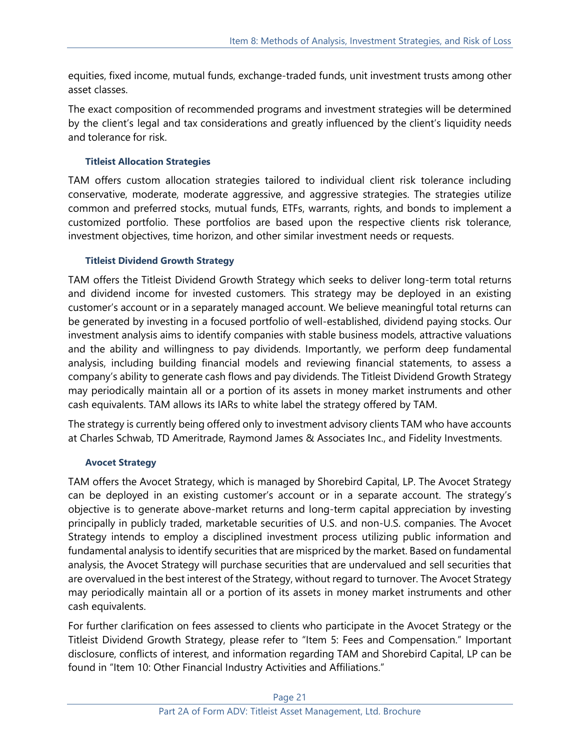equities, fixed income, mutual funds, exchange-traded funds, unit investment trusts among other asset classes.

The exact composition of recommended programs and investment strategies will be determined by the client's legal and tax considerations and greatly influenced by the client's liquidity needs and tolerance for risk.

## **Titleist Allocation Strategies**

TAM offers custom allocation strategies tailored to individual client risk tolerance including conservative, moderate, moderate aggressive, and aggressive strategies. The strategies utilize common and preferred stocks, mutual funds, ETFs, warrants, rights, and bonds to implement a customized portfolio. These portfolios are based upon the respective clients risk tolerance, investment objectives, time horizon, and other similar investment needs or requests.

## **Titleist Dividend Growth Strategy**

TAM offers the Titleist Dividend Growth Strategy which seeks to deliver long-term total returns and dividend income for invested customers. This strategy may be deployed in an existing customer's account or in a separately managed account. We believe meaningful total returns can be generated by investing in a focused portfolio of well-established, dividend paying stocks. Our investment analysis aims to identify companies with stable business models, attractive valuations and the ability and willingness to pay dividends. Importantly, we perform deep fundamental analysis, including building financial models and reviewing financial statements, to assess a company's ability to generate cash flows and pay dividends. The Titleist Dividend Growth Strategy may periodically maintain all or a portion of its assets in money market instruments and other cash equivalents. TAM allows its IARs to white label the strategy offered by TAM.

The strategy is currently being offered only to investment advisory clients TAM who have accounts at Charles Schwab, TD Ameritrade, Raymond James & Associates Inc., and Fidelity Investments.

#### **Avocet Strategy**

TAM offers the Avocet Strategy, which is managed by Shorebird Capital, LP. The Avocet Strategy can be deployed in an existing customer's account or in a separate account. The strategy's objective is to generate above-market returns and long-term capital appreciation by investing principally in publicly traded, marketable securities of U.S. and non-U.S. companies. The Avocet Strategy intends to employ a disciplined investment process utilizing public information and fundamental analysis to identify securities that are mispriced by the market. Based on fundamental analysis, the Avocet Strategy will purchase securities that are undervalued and sell securities that are overvalued in the best interest of the Strategy, without regard to turnover. The Avocet Strategy may periodically maintain all or a portion of its assets in money market instruments and other cash equivalents.

For further clarification on fees assessed to clients who participate in the Avocet Strategy or the Titleist Dividend Growth Strategy, please refer to "Item 5: Fees and Compensation." Important disclosure, conflicts of interest, and information regarding TAM and Shorebird Capital, LP can be found in "Item 10: Other Financial Industry Activities and Affiliations."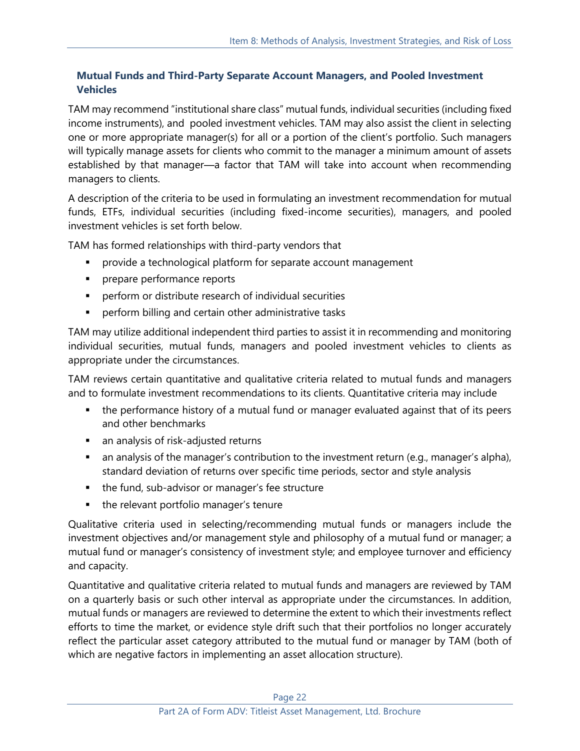## **Mutual Funds and Third-Party Separate Account Managers, and Pooled Investment Vehicles**

TAM may recommend "institutional share class" mutual funds, individual securities (including fixed income instruments), and pooled investment vehicles. TAM may also assist the client in selecting one or more appropriate manager(s) for all or a portion of the client's portfolio. Such managers will typically manage assets for clients who commit to the manager a minimum amount of assets established by that manager—a factor that TAM will take into account when recommending managers to clients.

A description of the criteria to be used in formulating an investment recommendation for mutual funds, ETFs, individual securities (including fixed-income securities), managers, and pooled investment vehicles is set forth below.

TAM has formed relationships with third-party vendors that

- **•** provide a technological platform for separate account management
- **•** prepare performance reports
- **•** perform or distribute research of individual securities
- **•** perform billing and certain other administrative tasks

TAM may utilize additional independent third parties to assist it in recommending and monitoring individual securities, mutual funds, managers and pooled investment vehicles to clients as appropriate under the circumstances.

TAM reviews certain quantitative and qualitative criteria related to mutual funds and managers and to formulate investment recommendations to its clients. Quantitative criteria may include

- the performance history of a mutual fund or manager evaluated against that of its peers and other benchmarks
- an analysis of risk-adjusted returns
- an analysis of the manager's contribution to the investment return (e.g., manager's alpha), standard deviation of returns over specific time periods, sector and style analysis
- the fund, sub-advisor or manager's fee structure
- the relevant portfolio manager's tenure

Qualitative criteria used in selecting/recommending mutual funds or managers include the investment objectives and/or management style and philosophy of a mutual fund or manager; a mutual fund or manager's consistency of investment style; and employee turnover and efficiency and capacity.

Quantitative and qualitative criteria related to mutual funds and managers are reviewed by TAM on a quarterly basis or such other interval as appropriate under the circumstances. In addition, mutual funds or managers are reviewed to determine the extent to which their investments reflect efforts to time the market, or evidence style drift such that their portfolios no longer accurately reflect the particular asset category attributed to the mutual fund or manager by TAM (both of which are negative factors in implementing an asset allocation structure).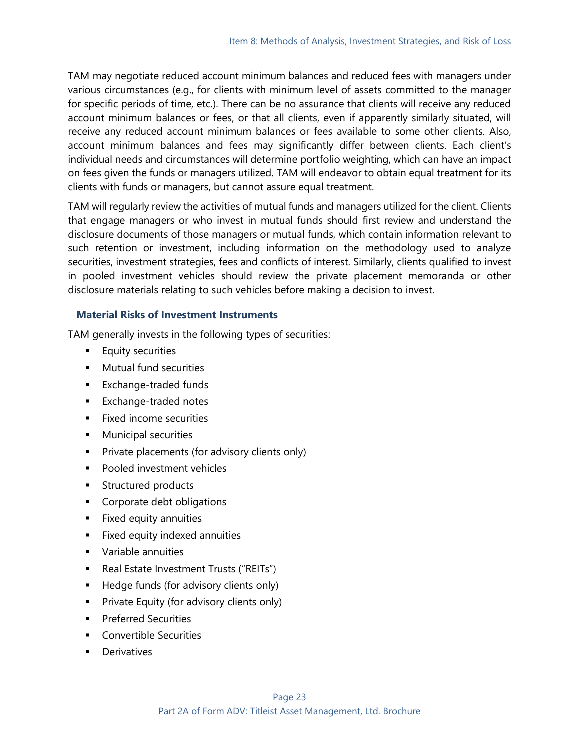TAM may negotiate reduced account minimum balances and reduced fees with managers under various circumstances (e.g., for clients with minimum level of assets committed to the manager for specific periods of time, etc.). There can be no assurance that clients will receive any reduced account minimum balances or fees, or that all clients, even if apparently similarly situated, will receive any reduced account minimum balances or fees available to some other clients. Also, account minimum balances and fees may significantly differ between clients. Each client's individual needs and circumstances will determine portfolio weighting, which can have an impact on fees given the funds or managers utilized. TAM will endeavor to obtain equal treatment for its clients with funds or managers, but cannot assure equal treatment.

TAM will regularly review the activities of mutual funds and managers utilized for the client. Clients that engage managers or who invest in mutual funds should first review and understand the disclosure documents of those managers or mutual funds, which contain information relevant to such retention or investment, including information on the methodology used to analyze securities, investment strategies, fees and conflicts of interest. Similarly, clients qualified to invest in pooled investment vehicles should review the private placement memoranda or other disclosure materials relating to such vehicles before making a decision to invest.

# **Material Risks of Investment Instruments**

TAM generally invests in the following types of securities:

- **Equity securities**
- Mutual fund securities
- Exchange-traded funds
- Exchange-traded notes
- Fixed income securities
- **■** Municipal securities
- **•** Private placements (for advisory clients only)
- Pooled investment vehicles
- Structured products
- Corporate debt obligations
- Fixed equity annuities
- Fixed equity indexed annuities
- Variable annuities
- Real Estate Investment Trusts ("REITs")
- Hedge funds (for advisory clients only)
- Private Equity (for advisory clients only)
- **•** Preferred Securities
- Convertible Securities
- **Derivatives**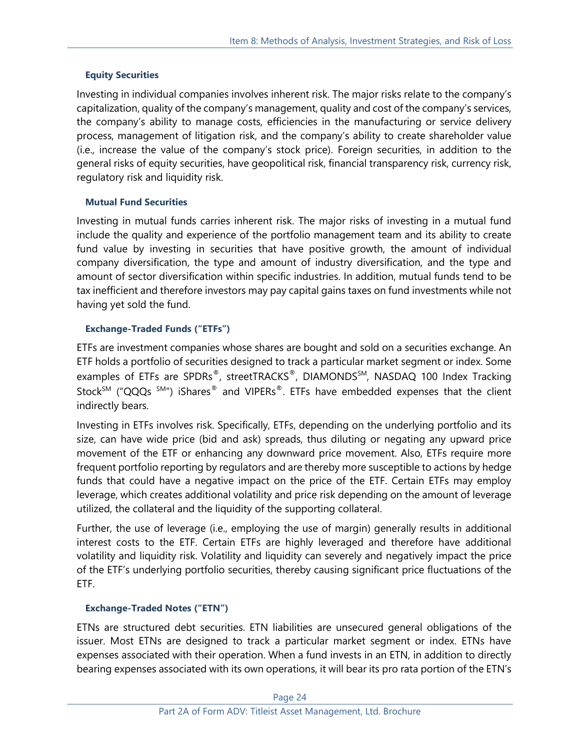## **Equity Securities**

Investing in individual companies involves inherent risk. The major risks relate to the company's capitalization, quality of the company's management, quality and cost of the company's services, the company's ability to manage costs, efficiencies in the manufacturing or service delivery process, management of litigation risk, and the company's ability to create shareholder value (i.e., increase the value of the company's stock price). Foreign securities, in addition to the general risks of equity securities, have geopolitical risk, financial transparency risk, currency risk, regulatory risk and liquidity risk.

## **Mutual Fund Securities**

Investing in mutual funds carries inherent risk. The major risks of investing in a mutual fund include the quality and experience of the portfolio management team and its ability to create fund value by investing in securities that have positive growth, the amount of individual company diversification, the type and amount of industry diversification, and the type and amount of sector diversification within specific industries. In addition, mutual funds tend to be tax inefficient and therefore investors may pay capital gains taxes on fund investments while not having yet sold the fund.

## **Exchange-Traded Funds ("ETFs")**

ETFs are investment companies whose shares are bought and sold on a securities exchange. An ETF holds a portfolio of securities designed to track a particular market segment or index. Some examples of ETFs are SPDRs<sup>®</sup>, streetTRACKS<sup>®</sup>, DIAMONDS<sup>SM</sup>, NASDAQ 100 Index Tracking Stock<sup>SM</sup> ("QQQs  $^{SM}$ ") iShares<sup>®</sup> and VIPERs<sup>®</sup>. ETFs have embedded expenses that the client indirectly bears.

Investing in ETFs involves risk. Specifically, ETFs, depending on the underlying portfolio and its size, can have wide price (bid and ask) spreads, thus diluting or negating any upward price movement of the ETF or enhancing any downward price movement. Also, ETFs require more frequent portfolio reporting by regulators and are thereby more susceptible to actions by hedge funds that could have a negative impact on the price of the ETF. Certain ETFs may employ leverage, which creates additional volatility and price risk depending on the amount of leverage utilized, the collateral and the liquidity of the supporting collateral.

Further, the use of leverage (i.e., employing the use of margin) generally results in additional interest costs to the ETF. Certain ETFs are highly leveraged and therefore have additional volatility and liquidity risk. Volatility and liquidity can severely and negatively impact the price of the ETF's underlying portfolio securities, thereby causing significant price fluctuations of the ETF.

## **Exchange-Traded Notes ("ETN")**

ETNs are structured debt securities. ETN liabilities are unsecured general obligations of the issuer. Most ETNs are designed to track a particular market segment or index. ETNs have expenses associated with their operation. When a fund invests in an ETN, in addition to directly bearing expenses associated with its own operations, it will bear its pro rata portion of the ETN's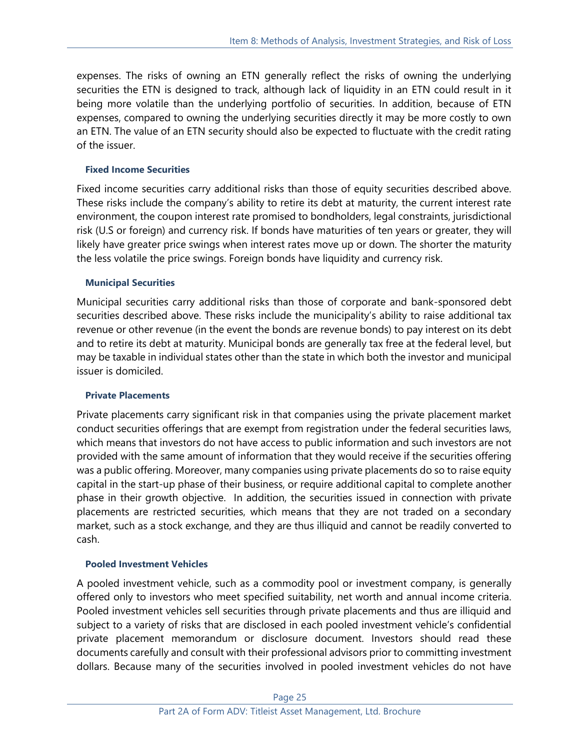expenses. The risks of owning an ETN generally reflect the risks of owning the underlying securities the ETN is designed to track, although lack of liquidity in an ETN could result in it being more volatile than the underlying portfolio of securities. In addition, because of ETN expenses, compared to owning the underlying securities directly it may be more costly to own an ETN. The value of an ETN security should also be expected to fluctuate with the credit rating of the issuer.

### **Fixed Income Securities**

Fixed income securities carry additional risks than those of equity securities described above. These risks include the company's ability to retire its debt at maturity, the current interest rate environment, the coupon interest rate promised to bondholders, legal constraints, jurisdictional risk (U.S or foreign) and currency risk. If bonds have maturities of ten years or greater, they will likely have greater price swings when interest rates move up or down. The shorter the maturity the less volatile the price swings. Foreign bonds have liquidity and currency risk.

## **Municipal Securities**

Municipal securities carry additional risks than those of corporate and bank-sponsored debt securities described above. These risks include the municipality's ability to raise additional tax revenue or other revenue (in the event the bonds are revenue bonds) to pay interest on its debt and to retire its debt at maturity. Municipal bonds are generally tax free at the federal level, but may be taxable in individual states other than the state in which both the investor and municipal issuer is domiciled.

#### **Private Placements**

Private placements carry significant risk in that companies using the private placement market conduct securities offerings that are exempt from registration under the federal securities laws, which means that investors do not have access to public information and such investors are not provided with the same amount of information that they would receive if the securities offering was a public offering. Moreover, many companies using private placements do so to raise equity capital in the start-up phase of their business, or require additional capital to complete another phase in their growth objective. In addition, the securities issued in connection with private placements are restricted securities, which means that they are not traded on a secondary market, such as a stock exchange, and they are thus illiquid and cannot be readily converted to cash.

#### **Pooled Investment Vehicles**

A pooled investment vehicle, such as a commodity pool or investment company, is generally offered only to investors who meet specified suitability, net worth and annual income criteria. Pooled investment vehicles sell securities through private placements and thus are illiquid and subject to a variety of risks that are disclosed in each pooled investment vehicle's confidential private placement memorandum or disclosure document. Investors should read these documents carefully and consult with their professional advisors prior to committing investment dollars. Because many of the securities involved in pooled investment vehicles do not have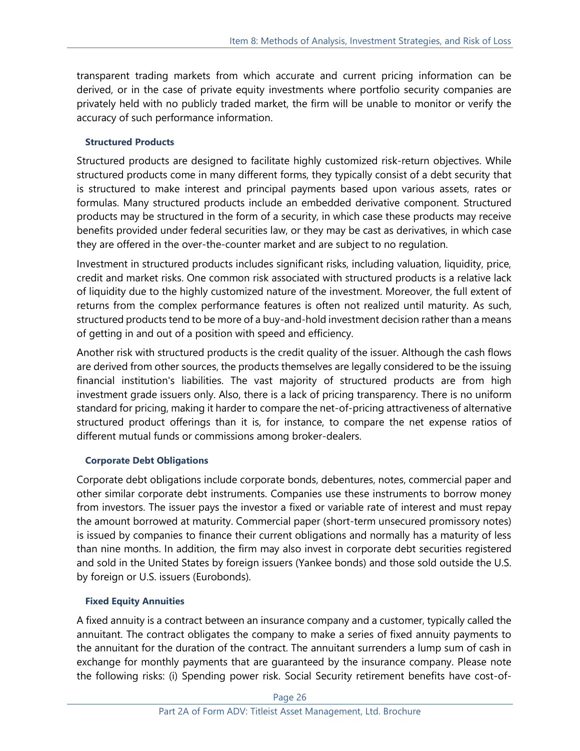transparent trading markets from which accurate and current pricing information can be derived, or in the case of private equity investments where portfolio security companies are privately held with no publicly traded market, the firm will be unable to monitor or verify the accuracy of such performance information.

## **Structured Products**

Structured products are designed to facilitate highly customized risk-return objectives. While structured products come in many different forms, they typically consist of a debt security that is structured to make interest and principal payments based upon various assets, rates or formulas. Many structured products include an embedded derivative component. Structured products may be structured in the form of a security, in which case these products may receive benefits provided under federal securities law, or they may be cast as derivatives, in which case they are offered in the over-the-counter market and are subject to no regulation.

Investment in structured products includes significant risks, including valuation, liquidity, price, credit and market risks. One common risk associated with structured products is a relative lack of [liquidity](http://www.investopedia.com/terms/l/liquidity.asp) due to the highly customized nature of the [investment.](http://www.investopedia.com/articles/optioninvestor/07/structured_products.asp) Moreover, the full extent of returns from the complex performance features is often not realized until maturity. As such, structured products tend to be more of [a buy-and-hold](http://www.investopedia.com/terms/b/buyandhold.asp) investment decision rather than a means of getting in and out of a position with speed and efficiency.

Another risk with structured products is the [credit quality](http://www.investopedia.com/terms/c/creditquality.asp) of the issuer. Although the cash flows are derived from other sources, the products themselves are legally considered to be the issuing financial institution's liabilities. The vast majority of structured products are from high investment grade issuers only. Also, there is a lack of pricing transparency. There is no uniform standard for pricing, making it harder to compare the net-of-pricing attractiveness of alternative structured product offerings than it is, for instance, to compare the net [expense ratios](http://www.investopedia.com/terms/e/expenseratio.asp) of different mutual funds or commissions among broker-dealers.

## **Corporate Debt Obligations**

Corporate debt obligations include corporate bonds, debentures, notes, commercial paper and other similar corporate debt instruments. Companies use these instruments to borrow money from investors. The issuer pays the investor a fixed or variable rate of interest and must repay the amount borrowed at maturity. Commercial paper (short-term unsecured promissory notes) is issued by companies to finance their current obligations and normally has a maturity of less than nine months. In addition, the firm may also invest in corporate debt securities registered and sold in the United States by foreign issuers (Yankee bonds) and those sold outside the U.S. by foreign or U.S. issuers (Eurobonds).

## **Fixed Equity Annuities**

A fixed annuity is a contract between an insurance company and a customer, typically called the annuitant. The contract obligates the company to make a series of fixed annuity payments to the annuitant for the duration of the contract. The annuitant surrenders a lump sum of cash in exchange for monthly payments that are guaranteed by the insurance company. Please note the following risks: (i) Spending power risk. Social Security retirement benefits have cost-of-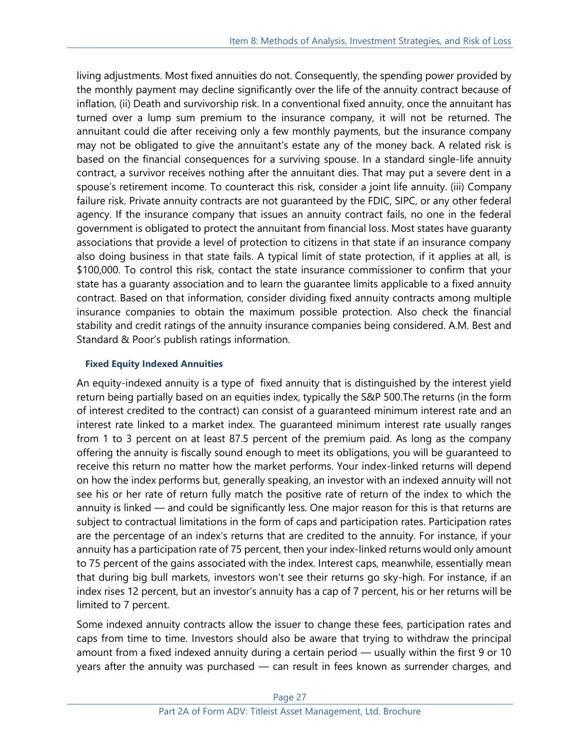living adjustments. Most fixed annuities do not. Consequently, the spending power provided by the monthly payment may decline significantly over the life of the annuity contract because of inflation, (ii) Death and survivorship risk. In a conventional fixed annuity, once the annuitant has turned over a lump sum premium to the insurance company, it will not be returned. The annuitant could die after receiving only a few monthly payments, but the insurance company may not be obligated to give the annuitant's estate any of the money back. A related risk is based on the financial consequences for a surviving spouse. In a standard single-life annuity contract, a survivor receives nothing after the annuitant dies. That may put a severe dent in a spouse's retirement income. To counteract this risk, consider a joint life annuity. (iii) Company failure risk. Private annuity contracts are not guaranteed by the FDIC, SIPC, or any other federal agency. If the insurance company that issues an annuity contract fails, no one in the federal government is obligated to protect the annuitant from financial loss. Most states have guaranty associations that provide a level of protection to citizens in that state if an insurance company also doing business in that state fails. A typical limit of state protection, if it applies at all, is \$100,000. To control this risk, contact the state insurance commissioner to confirm that your state has a guaranty association and to learn the guarantee limits applicable to a fixed annuity contract. Based on that information, consider dividing fixed annuity contracts among multiple insurance companies to obtain the maximum possible protection. Also check the financial stability and credit ratings of the annuity insurance companies being considered. A.M. Best and Standard & Poor's publish ratings information.

## **Fixed Equity Indexed Annuities**

An equity-indexed annuity is a type of fixed annuity that is distinguished by the interest yield return being partially based on an equities index, typically the S&P 500.The returns (in the form of interest credited to the contract) can consist of a guaranteed minimum interest rate and an interest rate linked to a market index. The guaranteed minimum interest rate usually ranges from 1 to 3 percent on at least 87.5 percent of the premium paid. As long as the company offering the annuity is fiscally sound enough to meet its obligations, you will be guaranteed to receive this return no matter how the market performs. Your index-linked returns will depend on how the index performs but, generally speaking, an investor with an indexed annuity will not see his or her rate of return fully match the positive rate of return of the index to which the annuity is linked — and could be significantly less. One major reason for this is that returns are subject to contractual limitations in the form of caps and participation rates. Participation rates are the percentage of an index's returns that are credited to the annuity. For instance, if your annuity has a participation rate of 75 percent, then your index-linked returns would only amount to 75 percent of the gains associated with the index. Interest caps, meanwhile, essentially mean that during big bull markets, investors won't see their returns go sky-high. For instance, if an index rises 12 percent, but an investor's annuity has a cap of 7 percent, his or her returns will be limited to 7 percent.

Some indexed annuity contracts allow the issuer to change these fees, participation rates and caps from time to time. Investors should also be aware that trying to withdraw the principal amount from a fixed indexed annuity during a certain period — usually within the first 9 or 10 years after the annuity was purchased — can result in fees known as surrender charges, and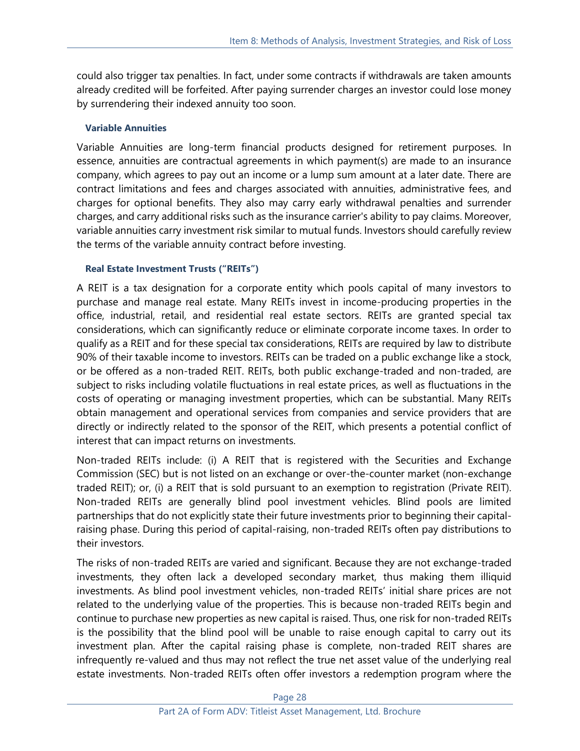could also trigger tax penalties. In fact, under some contracts if withdrawals are taken amounts already credited will be forfeited. After paying surrender charges an investor could lose money by surrendering their indexed annuity too soon.

## **Variable Annuities**

Variable Annuities are long-term financial products designed for retirement purposes. In essence, annuities are contractual agreements in which payment(s) are made to an insurance company, which agrees to pay out an income or a lump sum amount at a later date. There are contract limitations and fees and charges associated with annuities, administrative fees, and charges for optional benefits. They also may carry early withdrawal penalties and surrender charges, and carry additional risks such as the insurance carrier's ability to pay claims. Moreover, variable annuities carry investment risk similar to mutual funds. Investors should carefully review the terms of the variable annuity contract before investing.

## **Real Estate Investment Trusts ("REITs")**

A REIT is a tax designation for a corporate entity which pools capital of many investors to purchase and manage real estate. Many REITs invest in income-producing properties in the office, industrial, retail, and residential real estate sectors. REITs are granted special tax considerations, which can significantly reduce or eliminate corporate income taxes. In order to qualify as a REIT and for these special tax considerations, REITs are required by law to distribute 90% of their taxable income to investors. REITs can be traded on a public exchange like a stock, or be offered as a non-traded REIT. REITs, both public exchange-traded and non-traded, are subject to risks including volatile fluctuations in real estate prices, as well as fluctuations in the costs of operating or managing investment properties, which can be substantial. Many REITs obtain management and operational services from companies and service providers that are directly or indirectly related to the sponsor of the REIT, which presents a potential conflict of interest that can impact returns on investments.

Non-traded REITs include: (i) A REIT that is registered with the Securities and Exchange Commission (SEC) but is not listed on an exchange or over-the-counter market (non-exchange traded REIT); or, (i) a REIT that is sold pursuant to an exemption to registration (Private REIT). Non-traded REITs are generally blind pool investment vehicles. Blind pools are limited partnerships that do not explicitly state their future investments prior to beginning their capitalraising phase. During this period of capital-raising, non-traded REITs often pay distributions to their investors.

The risks of non-traded REITs are varied and significant. Because they are not exchange-traded investments, they often lack a developed secondary market, thus making them illiquid investments. As blind pool investment vehicles, non-traded REITs' initial share prices are not related to the underlying value of the properties. This is because non-traded REITs begin and continue to purchase new properties as new capital is raised. Thus, one risk for non-traded REITs is the possibility that the blind pool will be unable to raise enough capital to carry out its investment plan. After the capital raising phase is complete, non-traded REIT shares are infrequently re-valued and thus may not reflect the true net asset value of the underlying real estate investments. Non-traded REITs often offer investors a redemption program where the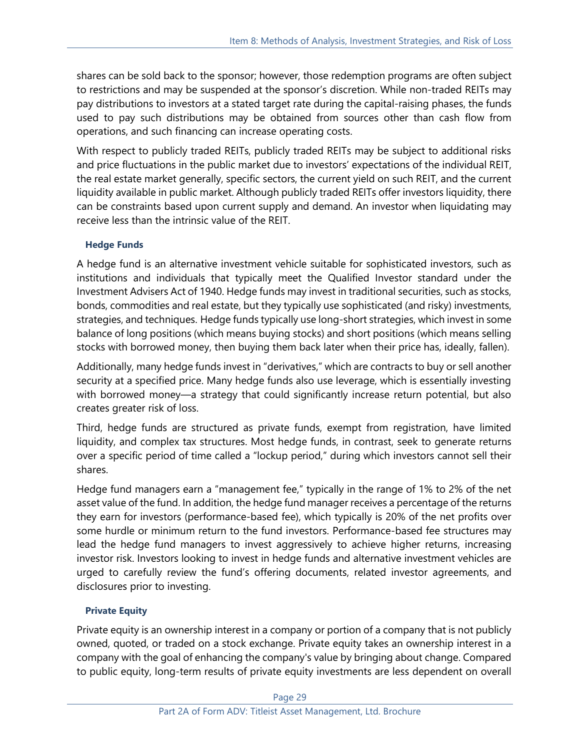shares can be sold back to the sponsor; however, those redemption programs are often subject to restrictions and may be suspended at the sponsor's discretion. While non-traded REITs may pay distributions to investors at a stated target rate during the capital-raising phases, the funds used to pay such distributions may be obtained from sources other than cash flow from operations, and such financing can increase operating costs.

With respect to publicly traded REITs, publicly traded REITs may be subject to additional risks and price fluctuations in the public market due to investors' expectations of the individual REIT, the real estate market generally, specific sectors, the current yield on such REIT, and the current liquidity available in public market. Although publicly traded REITs offer investors liquidity, there can be constraints based upon current supply and demand. An investor when liquidating may receive less than the intrinsic value of the REIT.

## **Hedge Funds**

A hedge fund is an alternative investment vehicle suitable for sophisticated investors, such as institutions and individuals that typically meet the Qualified Investor standard under the Investment Advisers Act of 1940. Hedge funds may invest in traditional securities, such as stocks, bonds, commodities and real estate, but they typically use sophisticated (and risky) investments, strategies, and techniques. Hedge funds typically use long-short strategies, which invest in some balance of long positions (which means buying stocks) and short positions (which means selling stocks with borrowed money, then buying them back later when their price has, ideally, fallen).

Additionally, many hedge funds invest in "derivatives," which are contracts to buy or sell another security at a specified price. Many hedge funds also use leverage, which is essentially investing with borrowed money—a strategy that could significantly increase return potential, but also creates greater risk of loss.

Third, hedge funds are structured as private funds, exempt from registration, have limited liquidity, and complex tax structures. Most hedge funds, in contrast, seek to generate returns over a specific period of time called a "lockup period," during which investors cannot sell their shares.

Hedge fund managers earn a "management fee," typically in the range of 1% to 2% of the net asset value of the fund. In addition, the hedge fund manager receives a percentage of the returns they earn for investors (performance-based fee), which typically is 20% of the net profits over some hurdle or minimum return to the fund investors. Performance-based fee structures may lead the hedge fund managers to invest aggressively to achieve higher returns, increasing investor risk. Investors looking to invest in hedge funds and alternative investment vehicles are urged to carefully review the fund's offering documents, related investor agreements, and disclosures prior to investing.

## **Private Equity**

Private equity is an ownership interest in a company or portion of a company that is not publicly owned, quoted, or traded on a stock exchange. Private equity takes an ownership interest in a company with the goal of enhancing the company's value by bringing about change. Compared to public equity, long-term results of private equity investments are less dependent on overall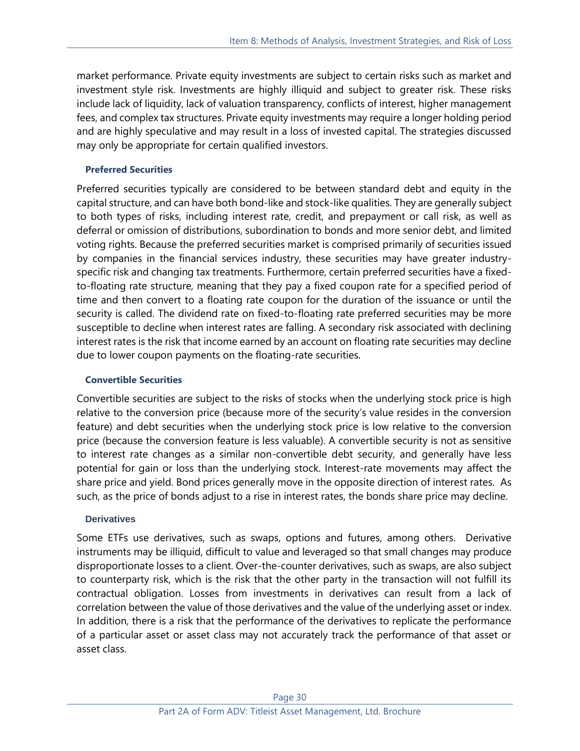market performance. Private equity investments are subject to certain risks such as market and investment style risk. Investments are highly illiquid and subject to greater risk. These risks include lack of liquidity, lack of valuation transparency, conflicts of interest, higher management fees, and complex tax structures. Private equity investments may require a longer holding period and are highly speculative and may result in a loss of invested capital. The strategies discussed may only be appropriate for certain qualified investors.

#### **Preferred Securities**

Preferred securities typically are considered to be between standard debt and equity in the capital structure, and can have both bond-like and stock-like qualities. They are generally subject to both types of risks, including interest rate, credit, and prepayment or call risk, as well as deferral or omission of distributions, subordination to bonds and more senior debt, and limited voting rights. Because the preferred securities market is comprised primarily of securities issued by companies in the financial services industry, these securities may have greater industryspecific risk and changing tax treatments. Furthermore, certain preferred securities have a fixedto-floating rate structure, meaning that they pay a fixed coupon rate for a specified period of time and then convert to a floating rate coupon for the duration of the issuance or until the security is called. The dividend rate on fixed-to-floating rate preferred securities may be more susceptible to decline when interest rates are falling. A secondary risk associated with declining interest rates is the risk that income earned by an account on floating rate securities may decline due to lower coupon payments on the floating-rate securities.

#### **Convertible Securities**

Convertible securities are subject to the risks of stocks when the underlying stock price is high relative to the conversion price (because more of the security's value resides in the conversion feature) and debt securities when the underlying stock price is low relative to the conversion price (because the conversion feature is less valuable). A convertible security is not as sensitive to interest rate changes as a similar non-convertible debt security, and generally have less potential for gain or loss than the underlying stock. Interest-rate movements may affect the share price and yield. Bond prices generally move in the opposite direction of interest rates. As such, as the price of bonds adjust to a rise in interest rates, the bonds share price may decline.

#### **Derivatives**

Some ETFs use derivatives, such as swaps, options and futures, among others. Derivative instruments may be illiquid, difficult to value and leveraged so that small changes may produce disproportionate losses to a client. Over-the-counter derivatives, such as swaps, are also subject to counterparty risk, which is the risk that the other party in the transaction will not fulfill its contractual obligation. Losses from investments in derivatives can result from a lack of correlation between the value of those derivatives and the value of the underlying asset or index. In addition, there is a risk that the performance of the derivatives to replicate the performance of a particular asset or asset class may not accurately track the performance of that asset or asset class.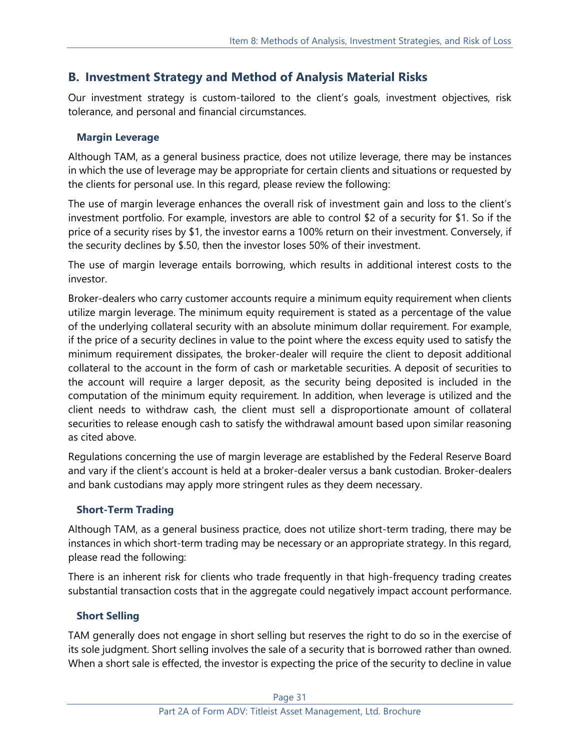# **B. Investment Strategy and Method of Analysis Material Risks**

Our investment strategy is custom-tailored to the client's goals, investment objectives, risk tolerance, and personal and financial circumstances.

## **Margin Leverage**

Although TAM, as a general business practice, does not utilize leverage, there may be instances in which the use of leverage may be appropriate for certain clients and situations or requested by the clients for personal use. In this regard, please review the following:

The use of margin leverage enhances the overall risk of investment gain and loss to the client's investment portfolio. For example, investors are able to control \$2 of a security for \$1. So if the price of a security rises by \$1, the investor earns a 100% return on their investment. Conversely, if the security declines by \$.50, then the investor loses 50% of their investment.

The use of margin leverage entails borrowing, which results in additional interest costs to the investor.

Broker-dealers who carry customer accounts require a minimum equity requirement when clients utilize margin leverage. The minimum equity requirement is stated as a percentage of the value of the underlying collateral security with an absolute minimum dollar requirement. For example, if the price of a security declines in value to the point where the excess equity used to satisfy the minimum requirement dissipates, the broker-dealer will require the client to deposit additional collateral to the account in the form of cash or marketable securities. A deposit of securities to the account will require a larger deposit, as the security being deposited is included in the computation of the minimum equity requirement. In addition, when leverage is utilized and the client needs to withdraw cash, the client must sell a disproportionate amount of collateral securities to release enough cash to satisfy the withdrawal amount based upon similar reasoning as cited above.

Regulations concerning the use of margin leverage are established by the Federal Reserve Board and vary if the client's account is held at a broker-dealer versus a bank custodian. Broker-dealers and bank custodians may apply more stringent rules as they deem necessary.

## **Short-Term Trading**

Although TAM, as a general business practice, does not utilize short-term trading, there may be instances in which short-term trading may be necessary or an appropriate strategy. In this regard, please read the following:

There is an inherent risk for clients who trade frequently in that high-frequency trading creates substantial transaction costs that in the aggregate could negatively impact account performance.

## **Short Selling**

TAM generally does not engage in short selling but reserves the right to do so in the exercise of its sole judgment. Short selling involves the sale of a security that is borrowed rather than owned. When a short sale is effected, the investor is expecting the price of the security to decline in value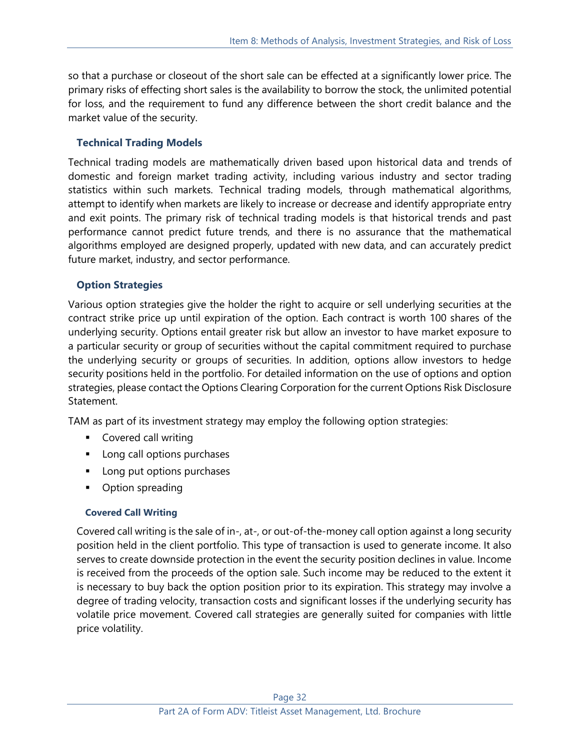so that a purchase or closeout of the short sale can be effected at a significantly lower price. The primary risks of effecting short sales is the availability to borrow the stock, the unlimited potential for loss, and the requirement to fund any difference between the short credit balance and the market value of the security.

## **Technical Trading Models**

Technical trading models are mathematically driven based upon historical data and trends of domestic and foreign market trading activity, including various industry and sector trading statistics within such markets. Technical trading models, through mathematical algorithms, attempt to identify when markets are likely to increase or decrease and identify appropriate entry and exit points. The primary risk of technical trading models is that historical trends and past performance cannot predict future trends, and there is no assurance that the mathematical algorithms employed are designed properly, updated with new data, and can accurately predict future market, industry, and sector performance.

## **Option Strategies**

Various option strategies give the holder the right to acquire or sell underlying securities at the contract strike price up until expiration of the option. Each contract is worth 100 shares of the underlying security. Options entail greater risk but allow an investor to have market exposure to a particular security or group of securities without the capital commitment required to purchase the underlying security or groups of securities. In addition, options allow investors to hedge security positions held in the portfolio. For detailed information on the use of options and option strategies, please contact the Options Clearing Corporation for the current Options Risk Disclosure Statement.

TAM as part of its investment strategy may employ the following option strategies:

- Covered call writing
- Long call options purchases
- Long put options purchases
- Option spreading

#### **Covered Call Writing**

Covered call writing is the sale of in-, at-, or out-of-the-money call option against a long security position held in the client portfolio. This type of transaction is used to generate income. It also serves to create downside protection in the event the security position declines in value. Income is received from the proceeds of the option sale. Such income may be reduced to the extent it is necessary to buy back the option position prior to its expiration. This strategy may involve a degree of trading velocity, transaction costs and significant losses if the underlying security has volatile price movement. Covered call strategies are generally suited for companies with little price volatility.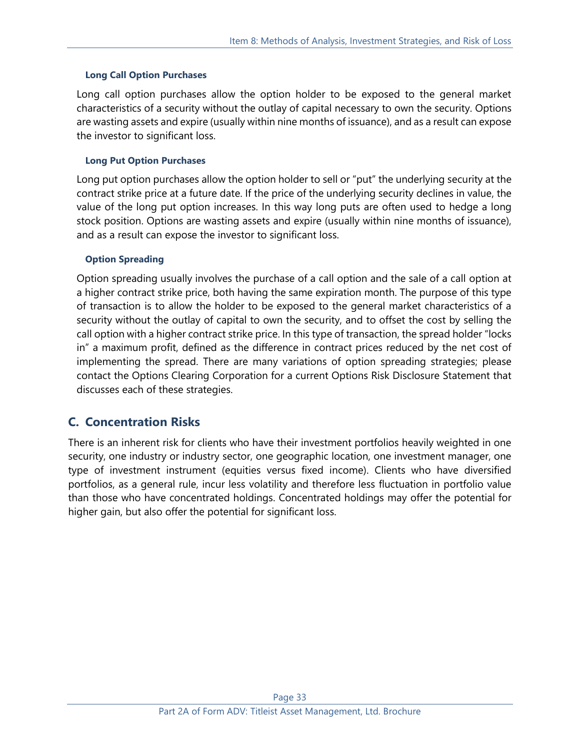#### **Long Call Option Purchases**

Long call option purchases allow the option holder to be exposed to the general market characteristics of a security without the outlay of capital necessary to own the security. Options are wasting assets and expire (usually within nine months of issuance), and as a result can expose the investor to significant loss.

#### **Long Put Option Purchases**

Long put option purchases allow the option holder to sell or "put" the underlying security at the contract strike price at a future date. If the price of the underlying security declines in value, the value of the long put option increases. In this way long puts are often used to hedge a long stock position. Options are wasting assets and expire (usually within nine months of issuance), and as a result can expose the investor to significant loss.

#### **Option Spreading**

Option spreading usually involves the purchase of a call option and the sale of a call option at a higher contract strike price, both having the same expiration month. The purpose of this type of transaction is to allow the holder to be exposed to the general market characteristics of a security without the outlay of capital to own the security, and to offset the cost by selling the call option with a higher contract strike price. In this type of transaction, the spread holder "locks in" a maximum profit, defined as the difference in contract prices reduced by the net cost of implementing the spread. There are many variations of option spreading strategies; please contact the Options Clearing Corporation for a current Options Risk Disclosure Statement that discusses each of these strategies.

# **C. Concentration Risks**

There is an inherent risk for clients who have their investment portfolios heavily weighted in one security, one industry or industry sector, one geographic location, one investment manager, one type of investment instrument (equities versus fixed income). Clients who have diversified portfolios, as a general rule, incur less volatility and therefore less fluctuation in portfolio value than those who have concentrated holdings. Concentrated holdings may offer the potential for higher gain, but also offer the potential for significant loss.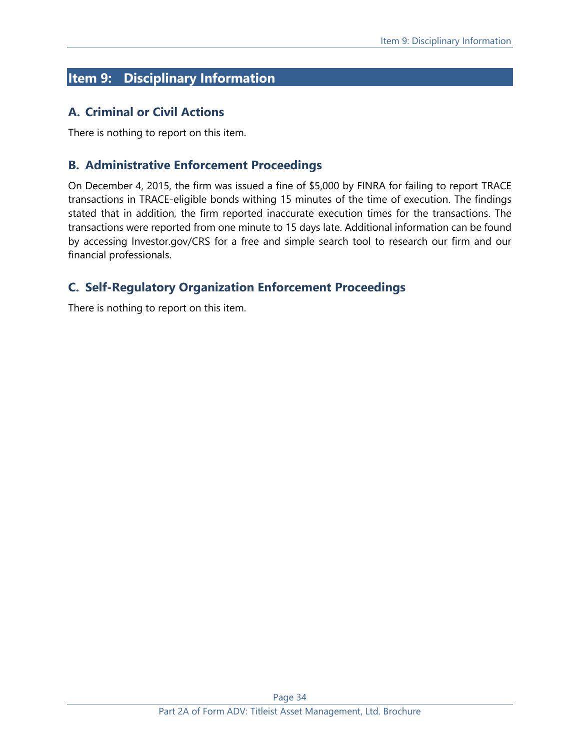# <span id="page-33-0"></span>**Item 9: Disciplinary Information**

# **A. Criminal or Civil Actions**

There is nothing to report on this item.

# **B. Administrative Enforcement Proceedings**

On December 4, 2015, the firm was issued a fine of \$5,000 by FINRA for failing to report TRACE transactions in TRACE-eligible bonds withing 15 minutes of the time of execution. The findings stated that in addition, the firm reported inaccurate execution times for the transactions. The transactions were reported from one minute to 15 days late. Additional information can be found by accessing [Investor.gov/CRS](https://www.investor.gov/CRS) for a free and simple search tool to research our firm and our financial professionals.

# **C. Self-Regulatory Organization Enforcement Proceedings**

There is nothing to report on this item.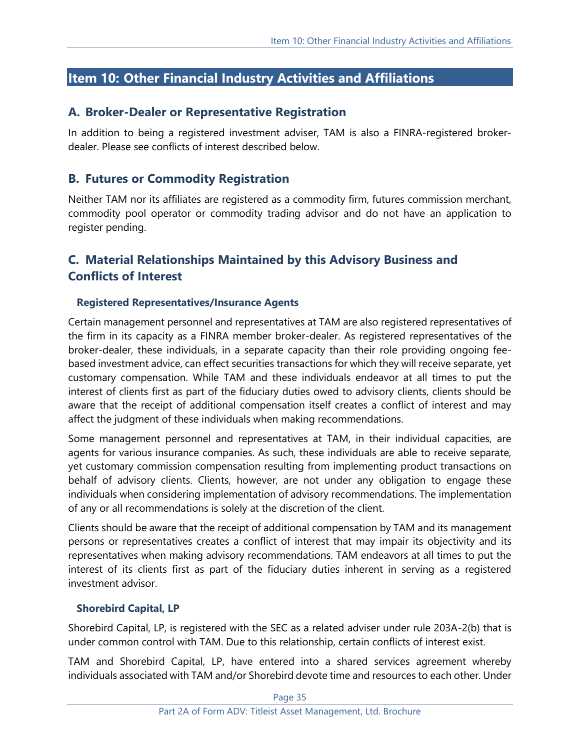# <span id="page-34-0"></span>**Item 10: Other Financial Industry Activities and Affiliations**

# **A. Broker-Dealer or Representative Registration**

In addition to being a registered investment adviser, TAM is also a FINRA-registered brokerdealer. Please see conflicts of interest described below.

# **B. Futures or Commodity Registration**

Neither TAM nor its affiliates are registered as a commodity firm, futures commission merchant, commodity pool operator or commodity trading advisor and do not have an application to register pending.

# **C. Material Relationships Maintained by this Advisory Business and Conflicts of Interest**

## **Registered Representatives/Insurance Agents**

Certain management personnel and representatives at TAM are also registered representatives of the firm in its capacity as a FINRA member broker‐dealer. As registered representatives of the broker‐dealer, these individuals, in a separate capacity than their role providing ongoing feebased investment advice, can effect securities transactions for which they will receive separate, yet customary compensation. While TAM and these individuals endeavor at all times to put the interest of clients first as part of the fiduciary duties owed to advisory clients, clients should be aware that the receipt of additional compensation itself creates a conflict of interest and may affect the judgment of these individuals when making recommendations.

Some management personnel and representatives at TAM, in their individual capacities, are agents for various insurance companies. As such, these individuals are able to receive separate, yet customary commission compensation resulting from implementing product transactions on behalf of advisory clients. Clients, however, are not under any obligation to engage these individuals when considering implementation of advisory recommendations. The implementation of any or all recommendations is solely at the discretion of the client.

Clients should be aware that the receipt of additional compensation by TAM and its management persons or representatives creates a conflict of interest that may impair its objectivity and its representatives when making advisory recommendations. TAM endeavors at all times to put the interest of its clients first as part of the fiduciary duties inherent in serving as a registered investment advisor.

## **Shorebird Capital, LP**

Shorebird Capital, LP, is registered with the SEC as a related adviser under rule 203A-2(b) that is under common control with TAM. Due to this relationship, certain conflicts of interest exist.

TAM and Shorebird Capital, LP, have entered into a shared services agreement whereby individuals associated with TAM and/or Shorebird devote time and resources to each other. Under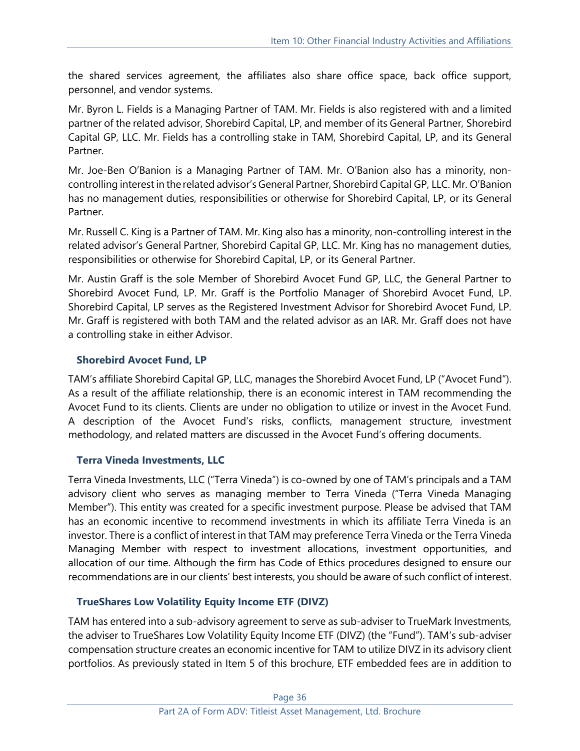the shared services agreement, the affiliates also share office space, back office support, personnel, and vendor systems.

Mr. Byron L. Fields is a Managing Partner of TAM. Mr. Fields is also registered with and a limited partner of the related advisor, Shorebird Capital, LP, and member of its General Partner, Shorebird Capital GP, LLC. Mr. Fields has a controlling stake in TAM, Shorebird Capital, LP, and its General Partner.

Mr. Joe-Ben O'Banion is a Managing Partner of TAM. Mr. O'Banion also has a minority, noncontrolling interest in the related advisor's General Partner, Shorebird Capital GP, LLC. Mr. O'Banion has no management duties, responsibilities or otherwise for Shorebird Capital, LP, or its General Partner.

Mr. Russell C. King is a Partner of TAM. Mr. King also has a minority, non-controlling interest in the related advisor's General Partner, Shorebird Capital GP, LLC. Mr. King has no management duties, responsibilities or otherwise for Shorebird Capital, LP, or its General Partner.

Mr. Austin Graff is the sole Member of Shorebird Avocet Fund GP, LLC, the General Partner to Shorebird Avocet Fund, LP. Mr. Graff is the Portfolio Manager of Shorebird Avocet Fund, LP. Shorebird Capital, LP serves as the Registered Investment Advisor for Shorebird Avocet Fund, LP. Mr. Graff is registered with both TAM and the related advisor as an IAR. Mr. Graff does not have a controlling stake in either Advisor.

# **Shorebird Avocet Fund, LP**

TAM's affiliate Shorebird Capital GP, LLC, manages the Shorebird Avocet Fund, LP ("Avocet Fund"). As a result of the affiliate relationship, there is an economic interest in TAM recommending the Avocet Fund to its clients. Clients are under no obligation to utilize or invest in the Avocet Fund. A description of the Avocet Fund's risks, conflicts, management structure, investment methodology, and related matters are discussed in the Avocet Fund's offering documents.

## **Terra Vineda Investments, LLC**

Terra Vineda Investments, LLC ("Terra Vineda") is co-owned by one of TAM's principals and a TAM advisory client who serves as managing member to Terra Vineda ("Terra Vineda Managing Member"). This entity was created for a specific investment purpose. Please be advised that TAM has an economic incentive to recommend investments in which its affiliate Terra Vineda is an investor. There is a conflict of interest in that TAM may preference Terra Vineda or the Terra Vineda Managing Member with respect to investment allocations, investment opportunities, and allocation of our time. Although the firm has Code of Ethics procedures designed to ensure our recommendations are in our clients' best interests, you should be aware of such conflict of interest.

## **TrueShares Low Volatility Equity Income ETF (DIVZ)**

TAM has entered into a sub-advisory agreement to serve as sub-adviser to TrueMark Investments, the adviser to TrueShares Low Volatility Equity Income ETF (DIVZ) (the "Fund"). TAM's sub-adviser compensation structure creates an economic incentive for TAM to utilize DIVZ in its advisory client portfolios. As previously stated in Item 5 of this brochure, ETF embedded fees are in addition to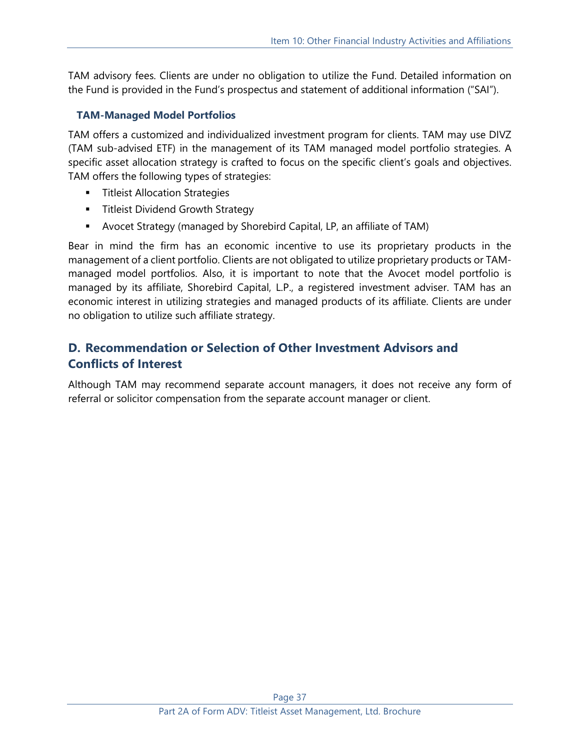TAM advisory fees. Clients are under no obligation to utilize the Fund. Detailed information on the Fund is provided in the Fund's prospectus and statement of additional information ("SAI").

## **TAM-Managed Model Portfolios**

TAM offers a customized and individualized investment program for clients. TAM may use DIVZ (TAM sub-advised ETF) in the management of its TAM managed model portfolio strategies. A specific asset allocation strategy is crafted to focus on the specific client's goals and objectives. TAM offers the following types of strategies:

- **■** Titleist Allocation Strategies
- **E** Titleist Dividend Growth Strategy
- **E** Avocet Strategy (managed by Shorebird Capital, LP, an affiliate of TAM)

Bear in mind the firm has an economic incentive to use its proprietary products in the management of a client portfolio. Clients are not obligated to utilize proprietary products or TAMmanaged model portfolios. Also, it is important to note that the Avocet model portfolio is managed by its affiliate, Shorebird Capital, L.P., a registered investment adviser. TAM has an economic interest in utilizing strategies and managed products of its affiliate. Clients are under no obligation to utilize such affiliate strategy.

# **D. Recommendation or Selection of Other Investment Advisors and Conflicts of Interest**

Although TAM may recommend separate account managers, it does not receive any form of referral or solicitor compensation from the separate account manager or client.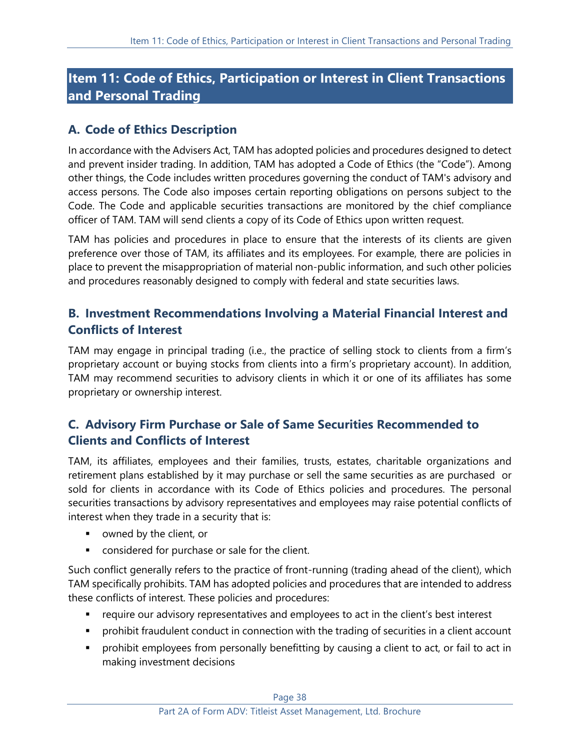# <span id="page-37-0"></span>**Item 11: Code of Ethics, Participation or Interest in Client Transactions and Personal Trading**

# **A. Code of Ethics Description**

In accordance with the Advisers Act, TAM has adopted policies and procedures designed to detect and prevent insider trading. In addition, TAM has adopted a Code of Ethics (the "Code"). Among other things, the Code includes written procedures governing the conduct of TAM's advisory and access persons. The Code also imposes certain reporting obligations on persons subject to the Code. The Code and applicable securities transactions are monitored by the chief compliance officer of TAM. TAM will send clients a copy of its Code of Ethics upon written request.

TAM has policies and procedures in place to ensure that the interests of its clients are given preference over those of TAM, its affiliates and its employees. For example, there are policies in place to prevent the misappropriation of material non-public information, and such other policies and procedures reasonably designed to comply with federal and state securities laws.

# **B. Investment Recommendations Involving a Material Financial Interest and Conflicts of Interest**

TAM may engage in principal trading (i.e., the practice of selling stock to clients from a firm's proprietary account or buying stocks from clients into a firm's proprietary account). In addition, TAM may recommend securities to advisory clients in which it or one of its affiliates has some proprietary or ownership interest.

# **C. Advisory Firm Purchase or Sale of Same Securities Recommended to Clients and Conflicts of Interest**

TAM, its affiliates, employees and their families, trusts, estates, charitable organizations and retirement plans established by it may purchase or sell the same securities as are purchased or sold for clients in accordance with its Code of Ethics policies and procedures. The personal securities transactions by advisory representatives and employees may raise potential conflicts of interest when they trade in a security that is:

- owned by the client, or
- considered for purchase or sale for the client.

Such conflict generally refers to the practice of front-running (trading ahead of the client), which TAM specifically prohibits. TAM has adopted policies and procedures that are intended to address these conflicts of interest. These policies and procedures:

- require our advisory representatives and employees to act in the client's best interest
- **•** prohibit fraudulent conduct in connection with the trading of securities in a client account
- **•** prohibit employees from personally benefitting by causing a client to act, or fail to act in making investment decisions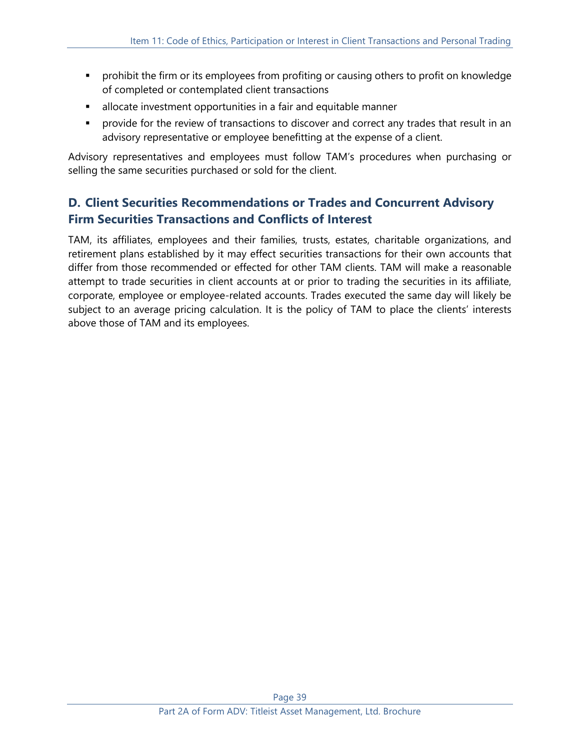- **•** prohibit the firm or its employees from profiting or causing others to profit on knowledge of completed or contemplated client transactions
- **EXEDEE** allocate investment opportunities in a fair and equitable manner
- **•** provide for the review of transactions to discover and correct any trades that result in an advisory representative or employee benefitting at the expense of a client.

Advisory representatives and employees must follow TAM's procedures when purchasing or selling the same securities purchased or sold for the client.

# **D. Client Securities Recommendations or Trades and Concurrent Advisory Firm Securities Transactions and Conflicts of Interest**

TAM, its affiliates, employees and their families, trusts, estates, charitable organizations, and retirement plans established by it may effect securities transactions for their own accounts that differ from those recommended or effected for other TAM clients. TAM will make a reasonable attempt to trade securities in client accounts at or prior to trading the securities in its affiliate, corporate, employee or employee-related accounts. Trades executed the same day will likely be subject to an average pricing calculation. It is the policy of TAM to place the clients' interests above those of TAM and its employees.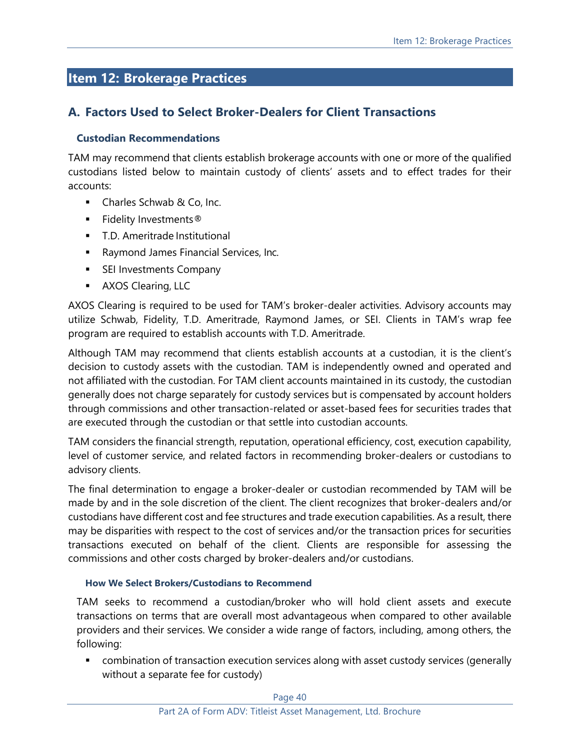# <span id="page-39-0"></span>**Item 12: Brokerage Practices**

# **A. Factors Used to Select Broker-Dealers for Client Transactions**

## **Custodian Recommendations**

TAM may recommend that clients establish brokerage accounts with one or more of the qualified custodians listed below to maintain custody of clients' assets and to effect trades for their accounts:

- Charles Schwab & Co, Inc.
- Fidelity Investments®
- T.D. Ameritrade Institutional
- Raymond James Financial Services, Inc.
- **EXECTE:** SEI Investments Company
- **EXAMOS Clearing, LLC**

AXOS Clearing is required to be used for TAM's broker-dealer activities. Advisory accounts may utilize Schwab, Fidelity, T.D. Ameritrade, Raymond James, or SEI. Clients in TAM's wrap fee program are required to establish accounts with T.D. Ameritrade.

Although TAM may recommend that clients establish accounts at a custodian, it is the client's decision to custody assets with the custodian. TAM is independently owned and operated and not affiliated with the custodian. For TAM client accounts maintained in its custody, the custodian generally does not charge separately for custody services but is compensated by account holders through commissions and other transaction-related or asset-based fees for securities trades that are executed through the custodian or that settle into custodian accounts.

TAM considers the financial strength, reputation, operational efficiency, cost, execution capability, level of customer service, and related factors in recommending broker-dealers or custodians to advisory clients.

The final determination to engage a broker-dealer or custodian recommended by TAM will be made by and in the sole discretion of the client. The client recognizes that broker-dealers and/or custodians have different cost and fee structures and trade execution capabilities. As a result, there may be disparities with respect to the cost of services and/or the transaction prices for securities transactions executed on behalf of the client. Clients are responsible for assessing the commissions and other costs charged by broker-dealers and/or custodians.

#### **How We Select Brokers/Custodians to Recommend**

TAM seeks to recommend a custodian/broker who will hold client assets and execute transactions on terms that are overall most advantageous when compared to other available providers and their services. We consider a wide range of factors, including, among others, the following:

**EXECT** combination of transaction execution services along with asset custody services (generally without a separate fee for custody)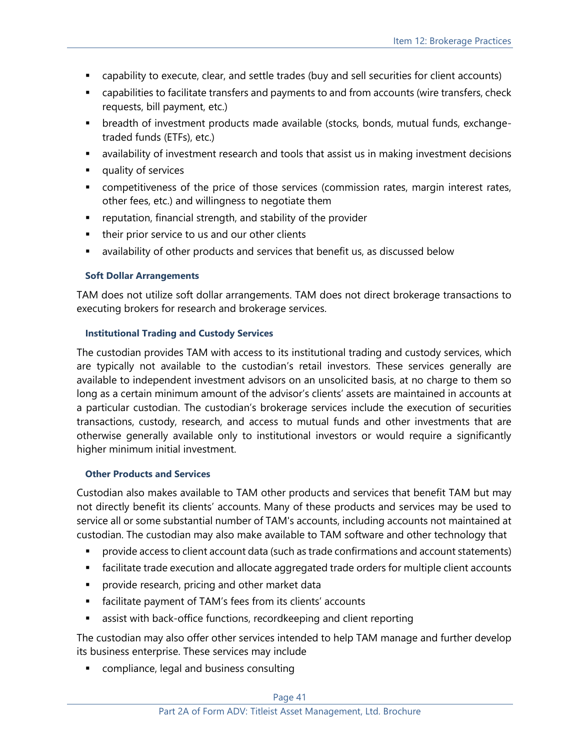- capability to execute, clear, and settle trades (buy and sell securities for client accounts)
- **•** capabilities to facilitate transfers and payments to and from accounts (wire transfers, check requests, bill payment, etc.)
- breadth of investment products made available (stocks, bonds, mutual funds, exchangetraded funds (ETFs), etc.)
- **■** availability of investment research and tools that assist us in making investment decisions
- quality of services
- competitiveness of the price of those services (commission rates, margin interest rates, other fees, etc.) and willingness to negotiate them
- reputation, financial strength, and stability of the provider
- their prior service to us and our other clients
- availability of other products and services that benefit us, as discussed below

#### **Soft Dollar Arrangements**

TAM does not utilize soft dollar arrangements. TAM does not direct brokerage transactions to executing brokers for research and brokerage services.

#### **Institutional Trading and Custody Services**

The custodian provides TAM with access to its institutional trading and custody services, which are typically not available to the custodian's retail investors. These services generally are available to independent investment advisors on an unsolicited basis, at no charge to them so long as a certain minimum amount of the advisor's clients' assets are maintained in accounts at a particular custodian. The custodian's brokerage services include the execution of securities transactions, custody, research, and access to mutual funds and other investments that are otherwise generally available only to institutional investors or would require a significantly higher minimum initial investment.

#### **Other Products and Services**

Custodian also makes available to TAM other products and services that benefit TAM but may not directly benefit its clients' accounts. Many of these products and services may be used to service all or some substantial number of TAM's accounts, including accounts not maintained at custodian. The custodian may also make available to TAM software and other technology that

- provide access to client account data (such as trade confirmations and account statements)
- facilitate trade execution and allocate aggregated trade orders for multiple client accounts
- **•** provide research, pricing and other market data
- facilitate payment of TAM's fees from its clients' accounts
- **EXECT** assist with back-office functions, recordkeeping and client reporting

The custodian may also offer other services intended to help TAM manage and further develop its business enterprise. These services may include

■ compliance, legal and business consulting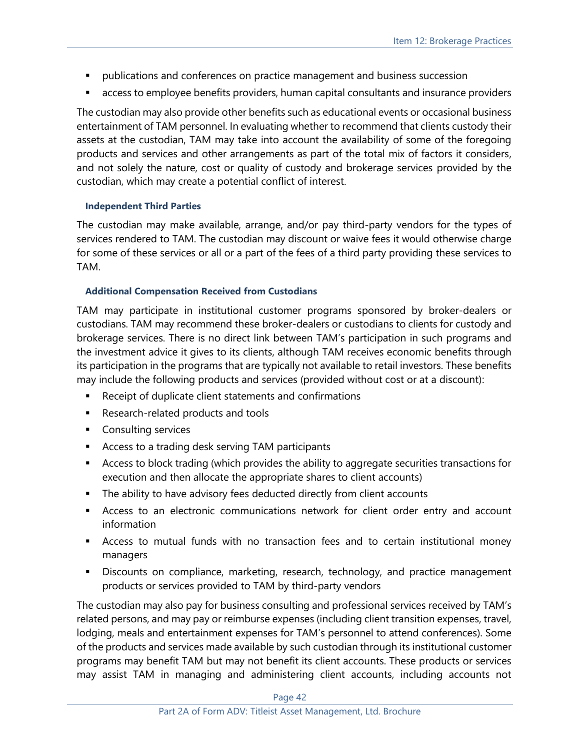- publications and conferences on practice management and business succession
- access to employee benefits providers, human capital consultants and insurance providers

The custodian may also provide other benefits such as educational events or occasional business entertainment of TAM personnel. In evaluating whether to recommend that clients custody their assets at the custodian, TAM may take into account the availability of some of the foregoing products and services and other arrangements as part of the total mix of factors it considers, and not solely the nature, cost or quality of custody and brokerage services provided by the custodian, which may create a potential conflict of interest.

#### **Independent Third Parties**

The custodian may make available, arrange, and/or pay third-party vendors for the types of services rendered to TAM. The custodian may discount or waive fees it would otherwise charge for some of these services or all or a part of the fees of a third party providing these services to TAM.

#### **Additional Compensation Received from Custodians**

TAM may participate in institutional customer programs sponsored by broker-dealers or custodians. TAM may recommend these broker-dealers or custodians to clients for custody and brokerage services. There is no direct link between TAM's participation in such programs and the investment advice it gives to its clients, although TAM receives economic benefits through its participation in the programs that are typically not available to retail investors. These benefits may include the following products and services (provided without cost or at a discount):

- Receipt of duplicate client statements and confirmations
- Research-related products and tools
- Consulting services
- Access to a trading desk serving TAM participants
- Access to block trading (which provides the ability to aggregate securities transactions for execution and then allocate the appropriate shares to client accounts)
- The ability to have advisory fees deducted directly from client accounts
- **EXP** Access to an electronic communications network for client order entry and account information
- **EXEL** Access to mutual funds with no transaction fees and to certain institutional money managers
- **EXEDE EXECOURGE IS DESCOUNTED FOR SHOW THE DEADER IS CONTEX** Discounts on complance, management products or services provided to TAM by third-party vendors

The custodian may also pay for business consulting and professional services received by TAM's related persons, and may pay or reimburse expenses (including client transition expenses, travel, lodging, meals and entertainment expenses for TAM's personnel to attend conferences). Some of the products and services made available by such custodian through its institutional customer programs may benefit TAM but may not benefit its client accounts. These products or services may assist TAM in managing and administering client accounts, including accounts not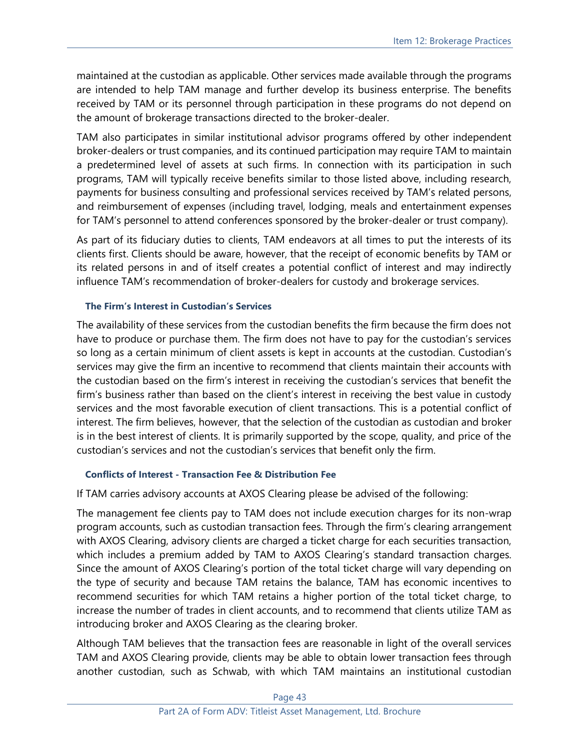maintained at the custodian as applicable. Other services made available through the programs are intended to help TAM manage and further develop its business enterprise. The benefits received by TAM or its personnel through participation in these programs do not depend on the amount of brokerage transactions directed to the broker-dealer.

TAM also participates in similar institutional advisor programs offered by other independent broker-dealers or trust companies, and its continued participation may require TAM to maintain a predetermined level of assets at such firms. In connection with its participation in such programs, TAM will typically receive benefits similar to those listed above, including research, payments for business consulting and professional services received by TAM's related persons, and reimbursement of expenses (including travel, lodging, meals and entertainment expenses for TAM's personnel to attend conferences sponsored by the broker-dealer or trust company).

As part of its fiduciary duties to clients, TAM endeavors at all times to put the interests of its clients first. Clients should be aware, however, that the receipt of economic benefits by TAM or its related persons in and of itself creates a potential conflict of interest and may indirectly influence TAM's recommendation of broker-dealers for custody and brokerage services.

#### **The Firm's Interest in Custodian's Services**

The availability of these services from the custodian benefits the firm because the firm does not have to produce or purchase them. The firm does not have to pay for the custodian's services so long as a certain minimum of client assets is kept in accounts at the custodian. Custodian's services may give the firm an incentive to recommend that clients maintain their accounts with the custodian based on the firm's interest in receiving the custodian's services that benefit the firm's business rather than based on the client's interest in receiving the best value in custody services and the most favorable execution of client transactions. This is a potential conflict of interest. The firm believes, however, that the selection of the custodian as custodian and broker is in the best interest of clients. It is primarily supported by the scope, quality, and price of the custodian's services and not the custodian's services that benefit only the firm.

#### **Conflicts of Interest - Transaction Fee & Distribution Fee**

If TAM carries advisory accounts at AXOS Clearing please be advised of the following:

The management fee clients pay to TAM does not include execution charges for its non-wrap program accounts, such as custodian transaction fees. Through the firm's clearing arrangement with AXOS Clearing, advisory clients are charged a ticket charge for each securities transaction, which includes a premium added by TAM to AXOS Clearing's standard transaction charges. Since the amount of AXOS Clearing's portion of the total ticket charge will vary depending on the type of security and because TAM retains the balance, TAM has economic incentives to recommend securities for which TAM retains a higher portion of the total ticket charge, to increase the number of trades in client accounts, and to recommend that clients utilize TAM as introducing broker and AXOS Clearing as the clearing broker.

Although TAM believes that the transaction fees are reasonable in light of the overall services TAM and AXOS Clearing provide, clients may be able to obtain lower transaction fees through another custodian, such as Schwab, with which TAM maintains an institutional custodian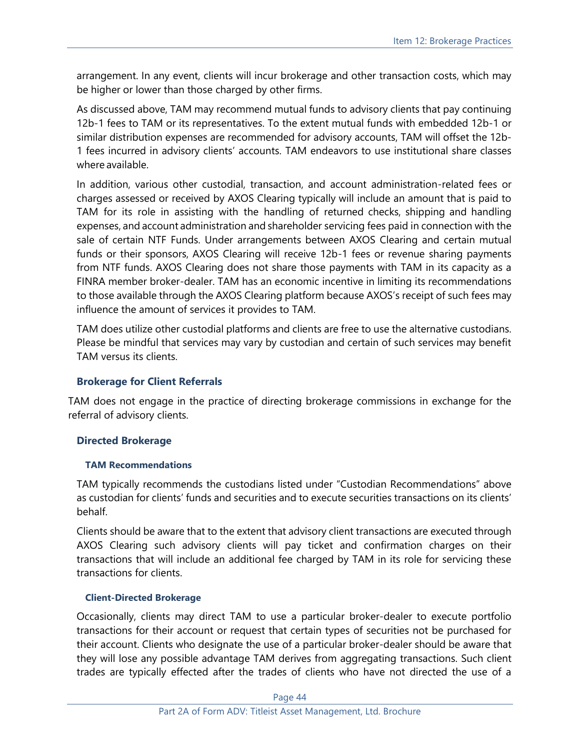arrangement. In any event, clients will incur brokerage and other transaction costs, which may be higher or lower than those charged by other firms.

As discussed above, TAM may recommend mutual funds to advisory clients that pay continuing 12b-1 fees to TAM or its representatives. To the extent mutual funds with embedded 12b-1 or similar distribution expenses are recommended for advisory accounts, TAM will offset the 12b-1 fees incurred in advisory clients' accounts. TAM endeavors to use institutional share classes where available.

In addition, various other custodial, transaction, and account administration-related fees or charges assessed or received by AXOS Clearing typically will include an amount that is paid to TAM for its role in assisting with the handling of returned checks, shipping and handling expenses, and account administration and shareholder servicing fees paid in connection with the sale of certain NTF Funds. Under arrangements between AXOS Clearing and certain mutual funds or their sponsors, AXOS Clearing will receive 12b-1 fees or revenue sharing payments from NTF funds. AXOS Clearing does not share those payments with TAM in its capacity as a FINRA member broker-dealer. TAM has an economic incentive in limiting its recommendations to those available through the AXOS Clearing platform because AXOS's receipt of such fees may influence the amount of services it provides to TAM.

TAM does utilize other custodial platforms and clients are free to use the alternative custodians. Please be mindful that services may vary by custodian and certain of such services may benefit TAM versus its clients.

#### **Brokerage for Client Referrals**

TAM does not engage in the practice of directing brokerage commissions in exchange for the referral of advisory clients.

#### **Directed Brokerage**

#### **TAM Recommendations**

TAM typically recommends the custodians listed under "Custodian Recommendations" above as custodian for clients' funds and securities and to execute securities transactions on its clients' behalf.

Clients should be aware that to the extent that advisory client transactions are executed through AXOS Clearing such advisory clients will pay ticket and confirmation charges on their transactions that will include an additional fee charged by TAM in its role for servicing these transactions for clients.

#### **Client-Directed Brokerage**

Occasionally, clients may direct TAM to use a particular broker-dealer to execute portfolio transactions for their account or request that certain types of securities not be purchased for their account. Clients who designate the use of a particular broker-dealer should be aware that they will lose any possible advantage TAM derives from aggregating transactions. Such client trades are typically effected after the trades of clients who have not directed the use of a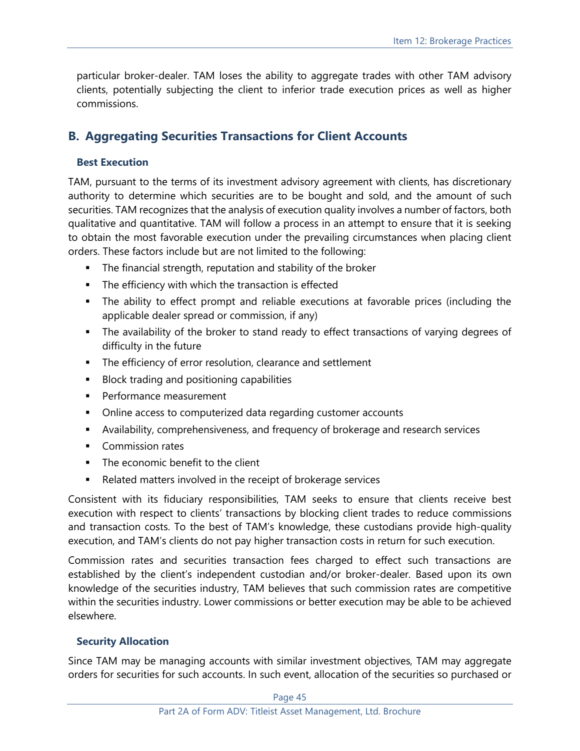particular broker-dealer. TAM loses the ability to aggregate trades with other TAM advisory clients, potentially subjecting the client to inferior trade execution prices as well as higher commissions.

# **B. Aggregating Securities Transactions for Client Accounts**

#### **Best Execution**

TAM, pursuant to the terms of its investment advisory agreement with clients, has discretionary authority to determine which securities are to be bought and sold, and the amount of such securities. TAM recognizes that the analysis of execution quality involves a number of factors, both qualitative and quantitative. TAM will follow a process in an attempt to ensure that it is seeking to obtain the most favorable execution under the prevailing circumstances when placing client orders. These factors include but are not limited to the following:

- The financial strength, reputation and stability of the broker
- **•** The efficiency with which the transaction is effected
- The ability to effect prompt and reliable executions at favorable prices (including the applicable dealer spread or commission, if any)
- **The availability of the broker to stand ready to effect transactions of varying degrees of** difficulty in the future
- The efficiency of error resolution, clearance and settlement
- Block trading and positioning capabilities
- Performance measurement
- Online access to computerized data regarding customer accounts
- Availability, comprehensiveness, and frequency of brokerage and research services
- Commission rates
- The economic benefit to the client
- Related matters involved in the receipt of brokerage services

Consistent with its fiduciary responsibilities, TAM seeks to ensure that clients receive best execution with respect to clients' transactions by blocking client trades to reduce commissions and transaction costs. To the best of TAM's knowledge, these custodians provide high-quality execution, and TAM's clients do not pay higher transaction costs in return for such execution.

Commission rates and securities transaction fees charged to effect such transactions are established by the client's independent custodian and/or broker-dealer. Based upon its own knowledge of the securities industry, TAM believes that such commission rates are competitive within the securities industry. Lower commissions or better execution may be able to be achieved elsewhere.

#### **Security Allocation**

Since TAM may be managing accounts with similar investment objectives, TAM may aggregate orders for securities for such accounts. In such event, allocation of the securities so purchased or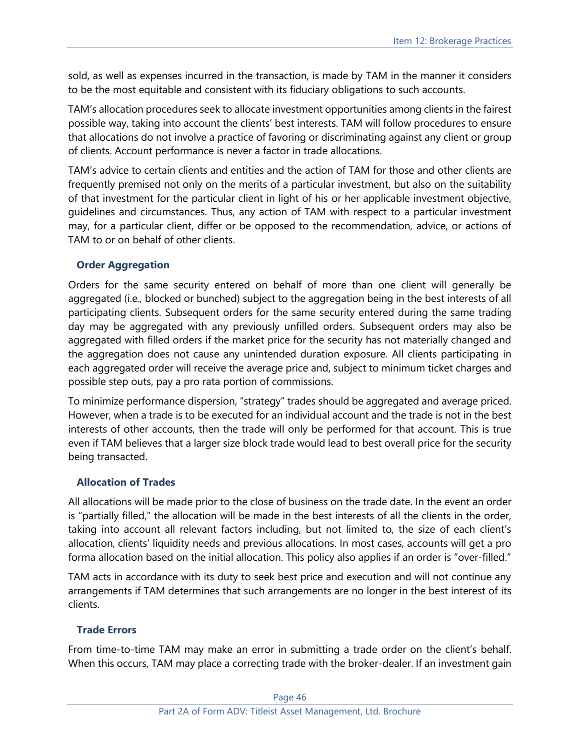sold, as well as expenses incurred in the transaction, is made by TAM in the manner it considers to be the most equitable and consistent with its fiduciary obligations to such accounts.

TAM's allocation procedures seek to allocate investment opportunities among clients in the fairest possible way, taking into account the clients' best interests. TAM will follow procedures to ensure that allocations do not involve a practice of favoring or discriminating against any client or group of clients. Account performance is never a factor in trade allocations.

TAM's advice to certain clients and entities and the action of TAM for those and other clients are frequently premised not only on the merits of a particular investment, but also on the suitability of that investment for the particular client in light of his or her applicable investment objective, guidelines and circumstances. Thus, any action of TAM with respect to a particular investment may, for a particular client, differ or be opposed to the recommendation, advice, or actions of TAM to or on behalf of other clients.

# **Order Aggregation**

Orders for the same security entered on behalf of more than one client will generally be aggregated (i.e., blocked or bunched) subject to the aggregation being in the best interests of all participating clients. Subsequent orders for the same security entered during the same trading day may be aggregated with any previously unfilled orders. Subsequent orders may also be aggregated with filled orders if the market price for the security has not materially changed and the aggregation does not cause any unintended duration exposure. All clients participating in each aggregated order will receive the average price and, subject to minimum ticket charges and possible step outs, pay a pro rata portion of commissions.

To minimize performance dispersion, "strategy" trades should be aggregated and average priced. However, when a trade is to be executed for an individual account and the trade is not in the best interests of other accounts, then the trade will only be performed for that account. This is true even if TAM believes that a larger size block trade would lead to best overall price for the security being transacted.

## **Allocation of Trades**

All allocations will be made prior to the close of business on the trade date. In the event an order is "partially filled," the allocation will be made in the best interests of all the clients in the order, taking into account all relevant factors including, but not limited to, the size of each client's allocation, clients' liquidity needs and previous allocations. In most cases, accounts will get a pro forma allocation based on the initial allocation. This policy also applies if an order is "over-filled."

TAM acts in accordance with its duty to seek best price and execution and will not continue any arrangements if TAM determines that such arrangements are no longer in the best interest of its clients.

# **Trade Errors**

From time-to-time TAM may make an error in submitting a trade order on the client's behalf. When this occurs, TAM may place a correcting trade with the broker-dealer. If an investment gain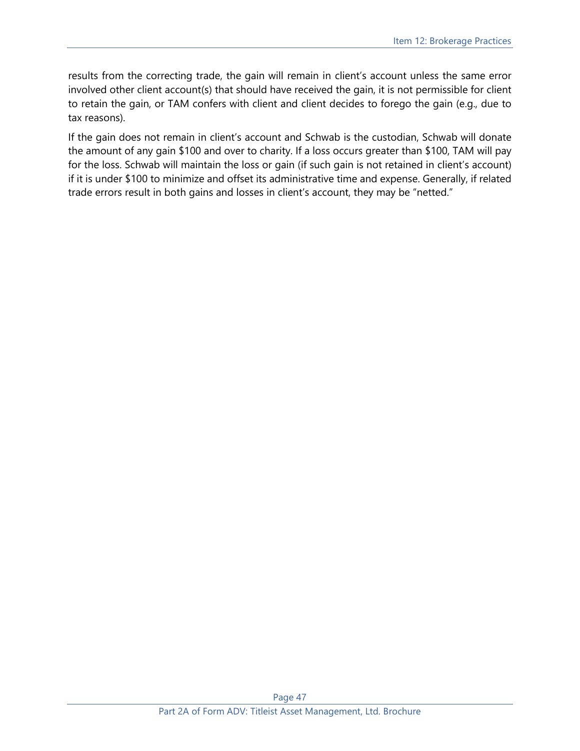results from the correcting trade, the gain will remain in client's account unless the same error involved other client account(s) that should have received the gain, it is not permissible for client to retain the gain, or TAM confers with client and client decides to forego the gain (e.g., due to tax reasons).

If the gain does not remain in client's account and Schwab is the custodian, Schwab will donate the amount of any gain \$100 and over to charity. If a loss occurs greater than \$100, TAM will pay for the loss. Schwab will maintain the loss or gain (if such gain is not retained in client's account) if it is under \$100 to minimize and offset its administrative time and expense. Generally, if related trade errors result in both gains and losses in client's account, they may be "netted."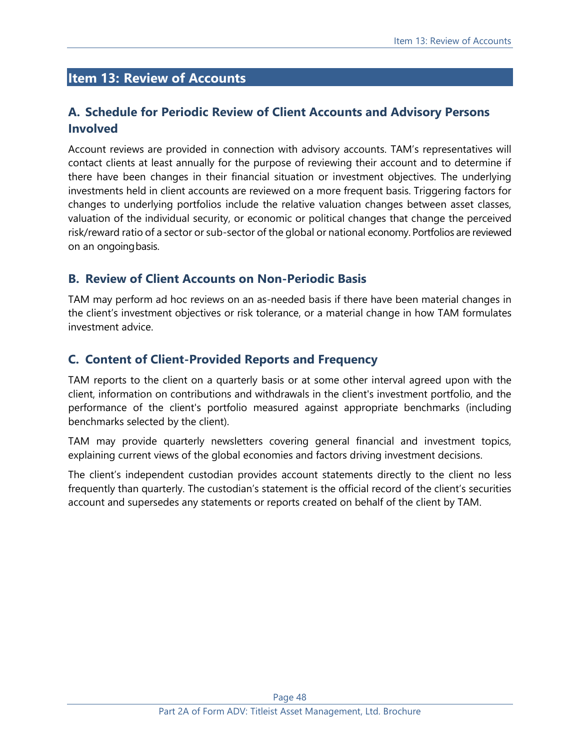# <span id="page-47-0"></span>**Item 13: Review of Accounts**

# **A. Schedule for Periodic Review of Client Accounts and Advisory Persons Involved**

Account reviews are provided in connection with advisory accounts. TAM's representatives will contact clients at least annually for the purpose of reviewing their account and to determine if there have been changes in their financial situation or investment objectives. The underlying investments held in client accounts are reviewed on a more frequent basis. Triggering factors for changes to underlying portfolios include the relative valuation changes between asset classes, valuation of the individual security, or economic or political changes that change the perceived risk/reward ratio of a sector or sub-sector of the global or national economy. Portfolios are reviewed on an ongoingbasis.

# **B. Review of Client Accounts on Non-Periodic Basis**

TAM may perform ad hoc reviews on an as-needed basis if there have been material changes in the client's investment objectives or risk tolerance, or a material change in how TAM formulates investment advice.

# **C. Content of Client-Provided Reports and Frequency**

TAM reports to the client on a quarterly basis or at some other interval agreed upon with the client, information on contributions and withdrawals in the client's investment portfolio, and the performance of the client's portfolio measured against appropriate benchmarks (including benchmarks selected by the client).

TAM may provide quarterly newsletters covering general financial and investment topics, explaining current views of the global economies and factors driving investment decisions.

The client's independent custodian provides account statements directly to the client no less frequently than quarterly. The custodian's statement is the official record of the client's securities account and supersedes any statements or reports created on behalf of the client by TAM.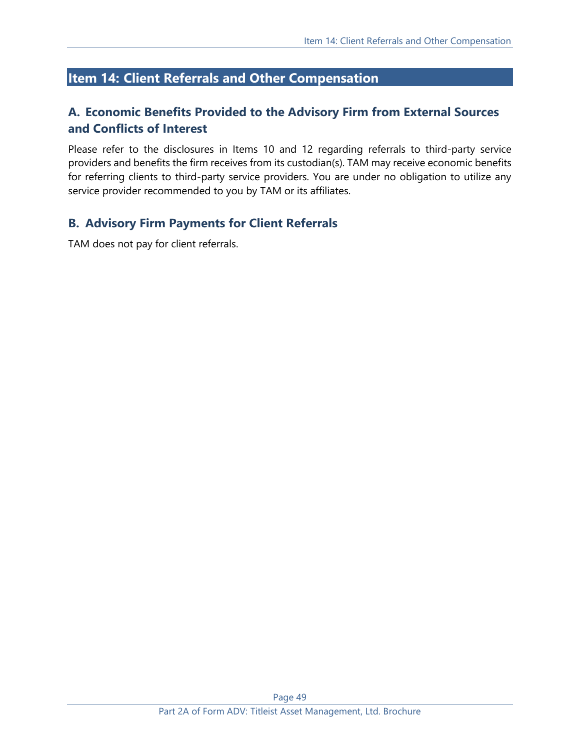# <span id="page-48-0"></span>**Item 14: Client Referrals and Other Compensation**

# **A. Economic Benefits Provided to the Advisory Firm from External Sources and Conflicts of Interest**

Please refer to the disclosures in Items 10 and 12 regarding referrals to third-party service providers and benefits the firm receives from its custodian(s). TAM may receive economic benefits for referring clients to third-party service providers. You are under no obligation to utilize any service provider recommended to you by TAM or its affiliates.

# **B. Advisory Firm Payments for Client Referrals**

TAM does not pay for client referrals.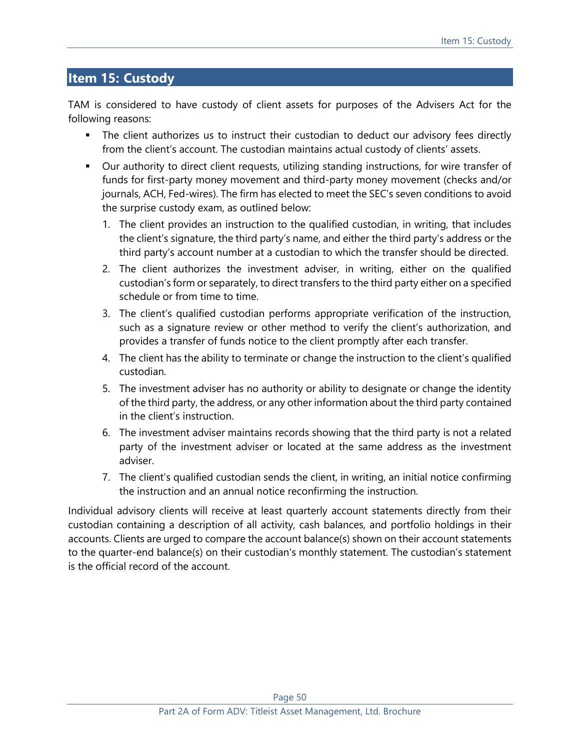# <span id="page-49-0"></span>**Item 15: Custody**

TAM is considered to have custody of client assets for purposes of the Advisers Act for the following reasons:

- **The client authorizes us to instruct their custodian to deduct our advisory fees directly** from the client's account. The custodian maintains actual custody of clients' assets.
- Our authority to direct client requests, utilizing standing instructions, for wire transfer of funds for first-party money movement and third-party money movement (checks and/or journals, ACH, Fed-wires). The firm has elected to meet the SEC's seven conditions to avoid the surprise custody exam, as outlined below:
	- 1. The client provides an instruction to the qualified custodian, in writing, that includes the client's signature, the third party's name, and either the third party's address or the third party's account number at a custodian to which the transfer should be directed.
	- 2. The client authorizes the investment adviser, in writing, either on the qualified custodian's form or separately, to direct transfers to the third party either on a specified schedule or from time to time.
	- 3. The client's qualified custodian performs appropriate verification of the instruction, such as a signature review or other method to verify the client's authorization, and provides a transfer of funds notice to the client promptly after each transfer.
	- 4. The client has the ability to terminate or change the instruction to the client's qualified custodian.
	- 5. The investment adviser has no authority or ability to designate or change the identity of the third party, the address, or any other information about the third party contained in the client's instruction.
	- 6. The investment adviser maintains records showing that the third party is not a related party of the investment adviser or located at the same address as the investment adviser.
	- 7. The client's qualified custodian sends the client, in writing, an initial notice confirming the instruction and an annual notice reconfirming the instruction.

Individual advisory clients will receive at least quarterly account statements directly from their custodian containing a description of all activity, cash balances, and portfolio holdings in their accounts. Clients are urged to compare the account balance(s) shown on their account statements to the quarter-end balance(s) on their custodian's monthly statement. The custodian's statement is the official record of the account.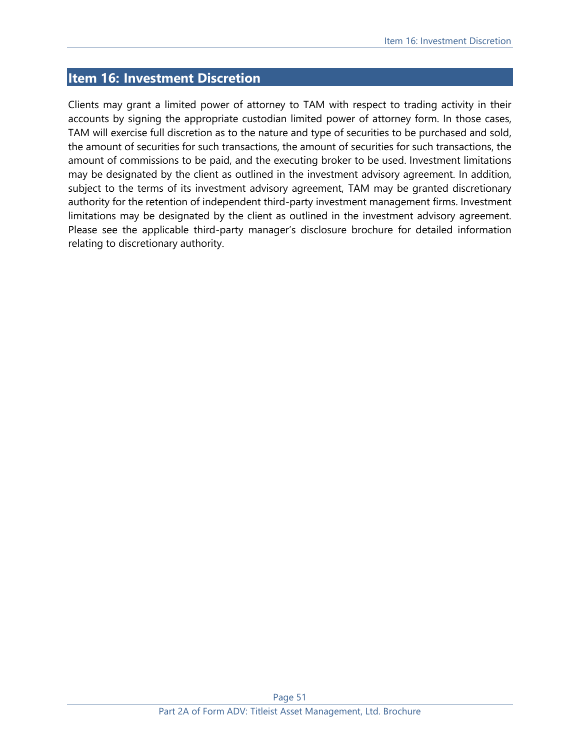# <span id="page-50-0"></span>**Item 16: Investment Discretion**

Clients may grant a limited power of attorney to TAM with respect to trading activity in their accounts by signing the appropriate custodian limited power of attorney form. In those cases, TAM will exercise full discretion as to the nature and type of securities to be purchased and sold, the amount of securities for such transactions, the amount of securities for such transactions, the amount of commissions to be paid, and the executing broker to be used. Investment limitations may be designated by the client as outlined in the investment advisory agreement. In addition, subject to the terms of its investment advisory agreement, TAM may be granted discretionary authority for the retention of independent third-party investment management firms. Investment limitations may be designated by the client as outlined in the investment advisory agreement. Please see the applicable third-party manager's disclosure brochure for detailed information relating to discretionary authority.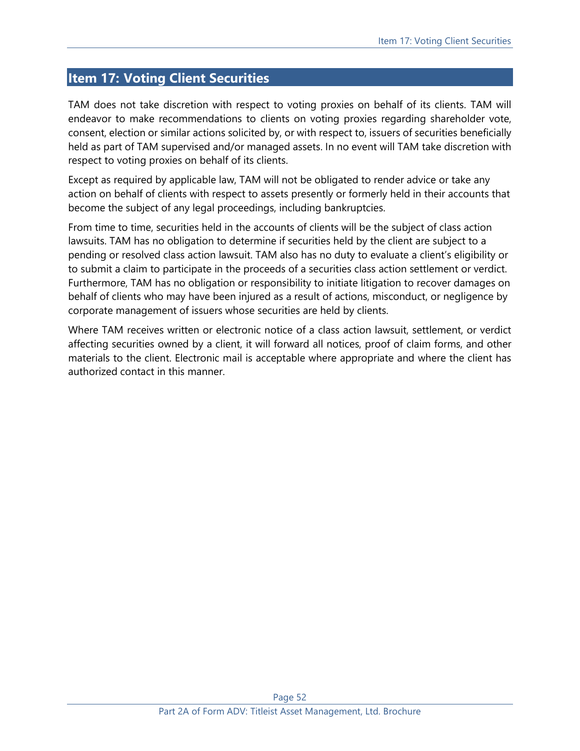# <span id="page-51-0"></span>**Item 17: Voting Client Securities**

TAM does not take discretion with respect to voting proxies on behalf of its clients. TAM will endeavor to make recommendations to clients on voting proxies regarding shareholder vote, consent, election or similar actions solicited by, or with respect to, issuers of securities beneficially held as part of TAM supervised and/or managed assets. In no event will TAM take discretion with respect to voting proxies on behalf of its clients.

Except as required by applicable law, TAM will not be obligated to render advice or take any action on behalf of clients with respect to assets presently or formerly held in their accounts that become the subject of any legal proceedings, including bankruptcies.

From time to time, securities held in the accounts of clients will be the subject of class action lawsuits. TAM has no obligation to determine if securities held by the client are subject to a pending or resolved class action lawsuit. TAM also has no duty to evaluate a client's eligibility or to submit a claim to participate in the proceeds of a securities class action settlement or verdict. Furthermore, TAM has no obligation or responsibility to initiate litigation to recover damages on behalf of clients who may have been injured as a result of actions, misconduct, or negligence by corporate management of issuers whose securities are held by clients.

Where TAM receives written or electronic notice of a class action lawsuit, settlement, or verdict affecting securities owned by a client, it will forward all notices, proof of claim forms, and other materials to the client. Electronic mail is acceptable where appropriate and where the client has authorized contact in this manner.